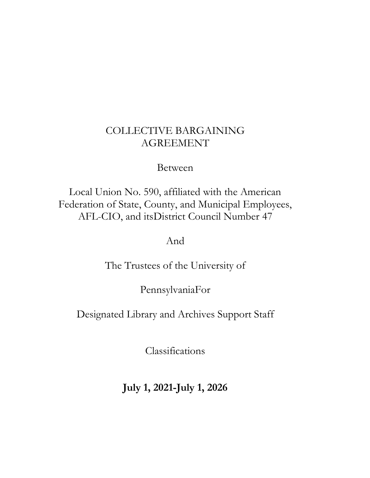# COLLECTIVE BARGAINING AGREEMENT

# Between

Local Union No. 590, affiliated with the American Federation of State, County, and Municipal Employees, AFL-CIO, and itsDistrict Council Number 47

And

The Trustees of the University of

PennsylvaniaFor

Designated Library and Archives Support Staff

Classifications

**July 1, 2021-July 1, 2026**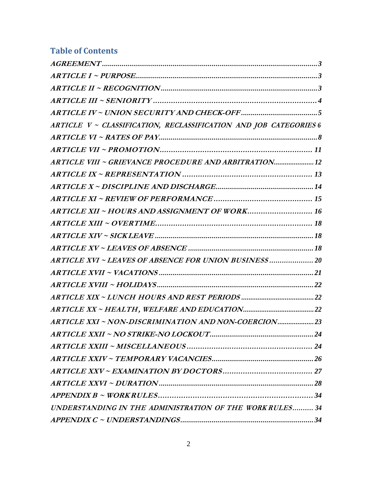# **Table of Contents**

| ARTICLE V ~ CLASSIFICATION, RECLASSIFICATION AND JOB CATEGORIES 6 |  |
|-------------------------------------------------------------------|--|
|                                                                   |  |
|                                                                   |  |
| ARTICLE VIII ~ GRIEVANCE PROCEDURE AND ARBITRATION 12             |  |
|                                                                   |  |
|                                                                   |  |
|                                                                   |  |
| ARTICLE XII ~ HOURS AND ASSIGNMENT OF WORK 16                     |  |
|                                                                   |  |
|                                                                   |  |
|                                                                   |  |
| ARTICLE XVI ~ LEAVES OF ABSENCE FOR UNION BUSINESS  20            |  |
|                                                                   |  |
|                                                                   |  |
|                                                                   |  |
|                                                                   |  |
| ARTICLE XXI ~ NON-DISCRIMINATION AND NON-COERCION23               |  |
|                                                                   |  |
|                                                                   |  |
|                                                                   |  |
|                                                                   |  |
|                                                                   |  |
|                                                                   |  |
| UNDERSTANDING IN THE ADMINISTRATION OF THE WORKRULES 34           |  |
|                                                                   |  |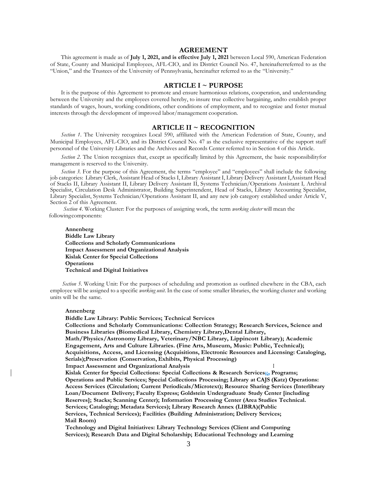# **AGREEMENT**

<span id="page-2-0"></span>This agreement is made as of **July 1, 2021, and is effective July 1, 2021** between Local 590, American Federation of State, County and Municipal Employees, AFL-CIO, and its District Council No. 47, hereinafterreferred to as the "Union," and the Trustees of the University of Pennsylvania, hereinafter referred to as the "University."

## **ARTICLE I ~ PURPOSE**

<span id="page-2-1"></span>It is the purpose of this Agreement to promote and ensure harmonious relations, cooperation, and understanding between the University and the employees covered hereby, to insure true collective bargaining, andto establish proper standards of wages, hours, working conditions, other conditions of employment, and to recognize and foster mutual interests through the development of improved labor/management cooperation.

#### **ARTICLE II ~ RECOGNITION**

<span id="page-2-2"></span>*Section 1*. The University recognizes Local 590, affiliated with the American Federation of State, County, and Municipal Employees, AFL-CIO, and its District Council No. 47 as the exclusive representative of the support staff personnel of the University Libraries and the Archives and Records Center referred to in Section 4 of this Article.

*Section 2.* The Union recognizes that, except as specifically limited by this Agreement, the basic responsibilityfor management is reserved to the University.

*Section 3.* For the purpose of this Agreement, the terms "employee" and "employees" shall include the following job categories: Library Clerk, Assistant Head of Stacks I, Library Assistant I, Library Delivery Assistant I,Assistant Head of Stacks II, Library Assistant II, Library Delivery Assistant II, Systems Technician/Operations Assistant I*,* Archival Specialist, Circulation Desk Administrator, Building Superintendent, Head of Stacks, Library Accounting Specialist, Library Specialist, Systems Technician/Operations Assistant II, and any new job category established under Article V, Section 2 of this Agreement.

*Section 4*. Working Cluster: For the purposes of assigning work, the term *working cluster* will mean the following components:

**Annenberg Biddle Law Library Collections and Scholarly Communications Impact Assessment and Organizational Analysis Kislak Center for Special Collections Operations Technical and Digital Initiatives**

*Section* 5. Working Unit: For the purposes of scheduling and promotion as outlined elsewhere in the CBA, each employee will be assigned to a specific *working unit*. In the case of some smaller libraries, the working cluster and working units will be the same.

#### **Annenberg**

**Biddle Law Library: Public Services; Technical Services Collections and Scholarly Communications: Collection Strategy; Research Services, Science and Business Libraries (Biomedical Library, Chemistry Library,Dental Library, Math/Physics/Astronomy Library, Veterinary/NBC Library, Lippincott Library); Academic Engagement, Arts and Culture Libraries. (Fine Arts, Museum, Music: Public, Technical); Acquisitions, Access, and Licensing (Acquisitions, Electronic Resources and Licensing: Cataloging, Serials);Preservation (Conservation, Exhibits, Physical Processing) Impact Assessment and Organizational Analysis <sup>I</sup> Kislak Center for Special Collections: Special Collections & Research Services;;, Programs; Operations and Public Services; Special Collections Processing; Library at CAJS (Katz) Operations: Access Services (Circulation; Current Periodicals/Microtext); Resource Sharing Services (Interlibrary Loan/Document Delivery; Faculty Express; Goldstein Undergraduate Study Center [including Reserves]; Stacks; Scanning Center); Information Processing Center (Area Studies Technical. Services; Cataloging; Metadata Services); Library Research Annex (LIBRA)(Public Services, Technical Services); Facilities (Building Administration; Delivery Services; Mail Room) Technology and Digital Initiatives: Library Technology Services (Client and Computing Services); Research Data and Digital Scholarship; Educational Technology and Learning**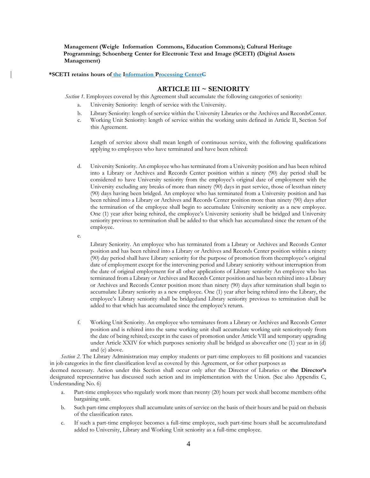**Management (Weigle Information Commons, Education Commons); Cultural Heritage Programming; Schoenberg Center for Electronic Text and Image (SCETI) (Digital Assets Management)**

#### <span id="page-3-0"></span>**\*SCETI retains hours of the Information Processing CenterC**

# **ARTICLE III ~ SENIORITY**

*Section* 1. Employees covered by this Agreement shall accumulate the following categories of seniority:

- a. University Seniority: length of service with the University.
- b. Library Seniority: length of service within the University Libraries or the Archives and RecordsCenter.
- c. Working Unit Seniority: length of service within the working units defined in Article II, Section 5of this Agreement.

Length of service above shall mean length of continuous service, with the following qualifications applying to employees who have terminated and have been rehired:

- d. University Seniority. An employee who has terminated from a University position and has been rehired into a Library or Archives and Records Center position within a ninety (90) day period shall be considered to have University seniority from the employee's original date of employment with the University excluding any breaks of more than ninety (90) days in past service, those of lessthan ninety (90) days having been bridged. An employee who has terminated from a University position and has been rehired into a Library or Archives and Records Center position more than ninety (90) days after the termination of the employee shall begin to accumulate University seniority as a new employee. One (1) year after being rehired, the employee's University seniority shall be bridged and University seniority previous to termination shall be added to that which has accumulated since the return of the employee.
- e.

Library Seniority. An employee who has terminated from a Library or Archives and Records Center position and has been rehired into a Library or Archives and Records Center position within a ninety (90) day period shall have Library seniority for the purpose of promotion from theemployee's original date of employment except for the intervening period and Library seniority without interruption from the date of original employment for all other applications of Library seniority An employee who has terminated from a Library or Archives and Records Center position and has been rehired into a Library or Archives and Records Center position more than ninety (90) days after termination shall begin to accumulate Library seniority as a new employee. One (1) year after being rehired into the Library, the employee's Library seniority shall be bridgedand Library seniority previous to termination shall be added to that which has accumulated since the employee's return.

f. Working Unit Seniority. An employee who terminates from a Library or Archives and Records Center position and is rehired into the same working unit shall accumulate working unit seniorityonly from the date of being rehired; except in the cases of promotion under Article VII and temporary upgrading under Article XXIV for which purposes seniority shall be bridged as aboveafter one (1) year as in (d) and (e) above.

*Section 2.* The Library Administration may employ students or part-time employees to fill positions and vacancies in job categories in the first classification level as covered by this Agreement, or for other purposes as

deemed necessary. Action under this Section shall occur only after the Director of Libraries or **the Director's** designated representative has discussed such action and its implementation with the Union. (See also Appendix C, Understanding No. 6)

- a. Part-time employees who regularly work more than twenty (20) hours per week shall become members ofthe bargaining unit.
- b. Such part-time employees shall accumulate units of service on the basis of their hours and be paid on thebasis of the classification rates.
- c. If such a part-time employee becomes a full-time employee, such part-time hours shall be accumulatedand added to University, Library and Working Unit seniority as a full-time employee.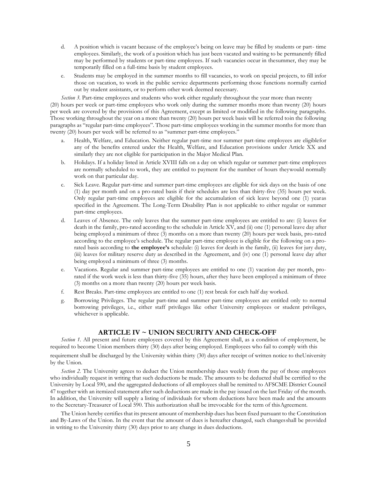- d. A position which is vacant because of the employee's being on leave may be filled by students or part- time employees. Similarly, the work of a position which has just been vacated and waiting to be permanently filled may be performed by students or part-time employees. If such vacancies occur in thesummer, they may be temporarily filled on a full-time basis by student employees.
- e. Students may be employed in the summer months to fill vacancies, to work on special projects, to fill infor those on vacation, to work in the public service departments performing those functions normally carried out by student assistants, or to perform other work deemed necessary.

*Section 3.* Part-time employees and students who work either regularly throughout the year more than twenty (20) hours per week or part-time employees who work only during the summer months more than twenty (20) hours per week are covered by the provisions of this Agreement, except as limited or modified in the following paragraphs. Those working throughout the year on a more than twenty (20) hours per week basis will be referred toin the following paragraphs as "regular part-time employees". Those part-time employees working in the summer months for more than twenty (20) hours per week will be referred to as "summer part-time employees."

- a. Health, Welfare, and Education. Neither regular part-time nor summer part-time employees are eligiblefor any of the benefits entered under the Health, Welfare, and Education provisions under Article XX and similarly they are not eligible for participation in the Major Medical Plan.
- b. Holidays. If a holiday listed in Article XVIII falls on a day on which regular or summer part-time employees are normally scheduled to work, they are entitled to payment for the number of hours theywould normally work on that particular day.
- c. Sick Leave. Regular part-time and summer part-time employees are eligible for sick days on the basis of one (1) day per month and on a pro-rated basis if their schedules are less than thirty-five (35) hours per week. Only regular part-time employees are eligible for the accumulation of sick leave beyond one (1) yearas specified in the Agreement. The Long-Term Disability Plan is not applicable to either regular or summer part-time employees.
- d. Leaves of Absence. The only leaves that the summer part-time employees are entitled to are: (i) leaves for death in the family, pro-rated according to the schedule in Article XV, and (ii) one (1) personal leave day after being employed a minimum of three (3) months on a more than twenty (20) hours per week basis, pro-rated according to the employee's schedule. The regular part-time employee is eligible for the following on a prorated basis according to **the employee's** schedule: (i) leaves for death in the family, (ii) leaves for jury duty, (iii) leaves for military reserve duty as described in the Agreement, and (iv) one (1) personal leave day after being employed a minimum of three (3) months.
- e. Vacations. Regular and summer part-time employees are entitled to one (1) vacation day per month, prorated if the work week is less than thirty-five (35) hours, after they have been employed a minimum of three (3) months on a more than twenty (20) hours per week basis.
- f. Rest Breaks. Part-time employees are entitled to one (1) rest break for each half day worked.
- g. Borrowing Privileges. The regular part-time and summer part-time employees are entitled only to normal borrowing privileges, i.e., either staff privileges like other University employees or student privileges, whichever is applicable.

## **ARTICLE IV ~ UNION SECURITY AND CHECK-OFF**

<span id="page-4-0"></span>*Section 1.* All present and future employees covered by this Agreement shall, as a condition of employment, be required to become Union members thirty (30) days after being employed. Employees who fail to comply with this

requirement shall be discharged by the University within thirty (30) days after receipt of written notice to theUniversity by the Union.

*Section 2.* The University agrees to deduct the Union membership dues weekly from the pay of those employees who individually request in writing that such deductions be made. The amounts to be deducted shall be certified to the University by Local 590, and the aggregated deductions of all employees shall be remitted to AFSCME District Council 47 together with an itemized statement after such deductions are made in the pay issued on the last Friday of the month. In addition, the University will supply a listing of individuals for whom deductions have been made and the amounts to the Secretary-Treasurer of Local 590. This authorization shall be irrevocable for the term of thisAgreement.

The Union hereby certifies that its present amount of membership dues has been fixed pursuant to the Constitution and By-Laws of the Union. In the event that the amount of dues is hereafter changed, such changes shall be provided in writing to the University thirty (30) days prior to any change in dues deductions.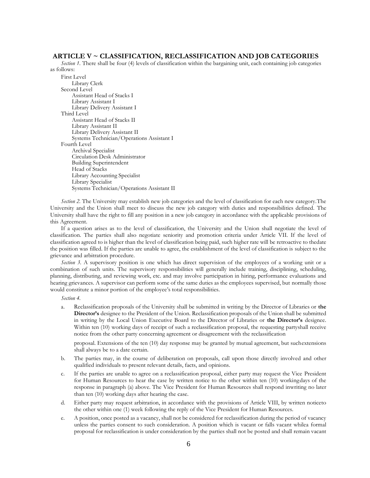# **ARTICLE V ~ CLASSIFICATION, RECLASSIFICATION AND JOB CATEGORIES**

<span id="page-5-0"></span>*Section 1*. There shall be four (4) levels of classification within the bargaining unit, each containing job categories as follows:

First Level Library Clerk Second Level Assistant Head of Stacks I Library Assistant I Library Delivery Assistant I Third Level Assistant Head of Stacks II Library Assistant II Library Delivery Assistant II Systems Technician/Operations Assistant I Fourth Level Archival Specialist Circulation Desk Administrator Building Superintendent Head of Stacks Library Accounting Specialist Library Specialist Systems Technician/Operations Assistant II

*Section 2.* The University may establish new job categories and the level of classification for each new category.The University and the Union shall meet to discuss the new job category with duties and responsibilities defined. The University shall have the right to fill any position in a new job category in accordance with the applicable provisions of this Agreement.

If a question arises as to the level of classification, the University and the Union shall negotiate the level of classification. The parties shall also negotiate seniority and promotion criteria under Article VII. If the level of classification agreed to is higher than the level of classification being paid, such higher rate will be retroactive to thedate the position was filled. If the parties are unable to agree, the establishment of the level of classification is subject to the grievance and arbitration procedure.

*Section 3.* A supervisory position is one which has direct supervision of the employees of a working unit or a combination of such units. The supervisory responsibilities will generally include training, disciplining, scheduling, planning, distributing, and reviewing work, etc. and may involve participation in hiring, performance evaluations and hearing grievances. A supervisor can perform some of the same duties as the employees supervised, but normally those would constitute a minor portion of the employee's total responsibilities.

*Section 4.*

a. Reclassification proposals of the University shall be submitted in writing by the Director of Libraries or **the Director's** designee to the President of the Union. Reclassification proposals of the Union shall be submitted in writing by the Local Union Executive Board to the Director of Libraries or **the Director's** designee. Within ten (10) working days of receipt of such a reclassification proposal, the requesting partyshall receive notice from the other party concerning agreement or disagreement with the reclassification

proposal. Extensions of the ten (10) day response may be granted by mutual agreement, but suchextensions shall always be to a date certain.

- b. The parties may, in the course of deliberation on proposals, call upon those directly involved and other qualified individuals to present relevant details, facts, and opinions.
- c. If the parties are unable to agree on a reclassification proposal, either party may request the Vice President for Human Resources to hear the case by written notice to the other within ten (10) workingdays of the response in paragraph (a) above. The Vice President for Human Resources shall respond inwriting no later than ten (10) working days after hearing the case.
- d. Either party may request arbitration, in accordance with the provisions of Article VIII, by written noticeto the other within one (1) week following the reply of the Vice President for Human Resources.
- e. A position, once posted as a vacancy, shall not be considered for reclassification during the period of vacancy unless the parties consent to such consideration. A position which is vacant or falls vacant whilea formal proposal for reclassification is under consideration by the parties shall not be posted and shall remain vacant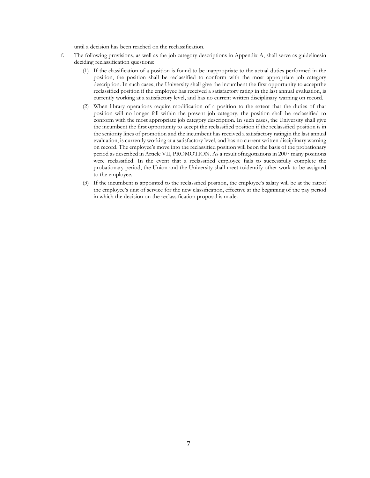until a decision has been reached on the reclassification.

- <span id="page-6-0"></span>f. The following provisions, as well as the job category descriptions in Appendix A, shall serve as guidelinesin deciding reclassification questions:
	- (1) If the classification of a position is found to be inappropriate to the actual duties performed in the position, the position shall be reclassified to conform with the most appropriate job category description. In such cases, the University shall give the incumbent the first opportunity to acceptthe reclassified position if the employee has received a satisfactory rating in the last annual evaluation, is currently working at a satisfactory level, and has no current written disciplinary warning on record.
	- (2) When library operations require modification of a position to the extent that the duties of that position will no longer fall within the present job category, the position shall be reclassified to conform with the most appropriate job category description. In such cases, the University shall give the incumbent the first opportunity to accept the reclassified position if the reclassified position is in the seniority lines of promotion and the incumbent has received a satisfactory ratingin the last annual evaluation, is currently working at a satisfactory level, and has no current written disciplinary warning on record. The employee's move into the reclassified position will beon the basis of the probationary period as described in Article VII, PROMOTION. As a result ofnegotiations in 2007 many positions were reclassified. In the event that a reclassified employee fails to successfully complete the probationary period, the Union and the University shall meet toidentify other work to be assigned to the employee.
	- (3) If the incumbent is appointed to the reclassified position, the employee's salary will be at the rateof the employee's unit of service for the new classification, effective at the beginning of the pay period in which the decision on the reclassification proposal is made.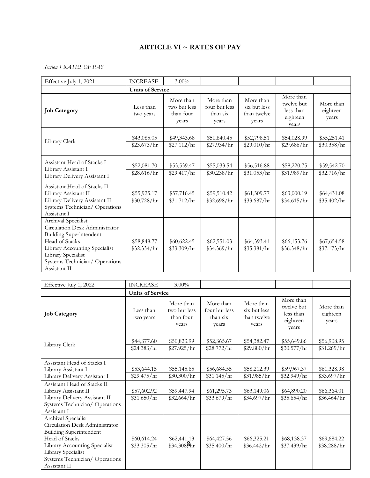# **ARTICLE VI ~ RATES OF PAY**

# *Section 1 RATES OF PAY*

| Effective July 1, 2021                                                                                                                                                                                            | <b>INCREASE</b>            | $3.00\%$                                        |                                                 |                                                   |                                                           |                                |
|-------------------------------------------------------------------------------------------------------------------------------------------------------------------------------------------------------------------|----------------------------|-------------------------------------------------|-------------------------------------------------|---------------------------------------------------|-----------------------------------------------------------|--------------------------------|
|                                                                                                                                                                                                                   | <b>Units of Service</b>    |                                                 |                                                 |                                                   |                                                           |                                |
| <b>Job Category</b>                                                                                                                                                                                               | Less than<br>two years     | More than<br>two but less<br>than four<br>years | More than<br>four but less<br>than six<br>years | More than<br>six but less<br>than twelve<br>years | More than<br>twelve but<br>less than<br>eighteen<br>years | More than<br>eighteen<br>years |
| Library Clerk                                                                                                                                                                                                     | \$43,085.05<br>\$23.673/hr | \$49,343.68<br>\$27.112/hr                      | \$50,840.45<br>\$27.934/hr                      | \$52,798.51<br>\$29.010/hr                        | \$54,028.99<br>\$29.686/hr                                | \$55,251.41<br>\$30.358/hr     |
| Assistant Head of Stacks I<br>Library Assistant I<br>Library Delivery Assistant I                                                                                                                                 | \$52,081.70<br>\$28.616/hr | \$53,539.47<br>\$29.417/hr                      | \$55,033.54<br>\$30.238/hr                      | \$56,516.88<br>\$31.053/hr                        | \$58,220.75<br>\$31.989/hr                                | \$59,542.70<br>\$32.716/hr     |
| Assistant Head of Stacks II<br>Library Assistant II<br>Library Delivery Assistant II<br>Systems Technician/Operations<br>Assistant I                                                                              | \$55,925.17<br>\$30.728/hr | \$57,716.45<br>\$31.712/hr                      | \$59,510.42<br>\$32.698/hr                      | \$61,309.77<br>\$33.687/hr                        | \$63,000.19<br>\$34.615/hr                                | \$64,431.08<br>\$35.402/hr     |
| Archival Specialist<br>Circulation Desk Administrator<br><b>Building Superintendent</b><br>Head of Stacks<br>Library Accounting Specialist<br>Library Specialist<br>Systems Technician/Operations<br>Assistant II | \$58,848.77<br>\$32.334/hr | \$60,622.45<br>\$33.309/hr                      | \$62,551.03<br>\$34.369/hr                      | \$64,393.41<br>\$35.381/hr                        | \$66,153.76<br>\$36.348/hr                                | \$67,654.58<br>\$37.173/hr     |

| Effective July 1, 2022                                                                                                | <b>INCREASE</b>            | $3.00\%$                                        |                                                 |                                                   |                                                           |                                |
|-----------------------------------------------------------------------------------------------------------------------|----------------------------|-------------------------------------------------|-------------------------------------------------|---------------------------------------------------|-----------------------------------------------------------|--------------------------------|
|                                                                                                                       | <b>Units of Service</b>    |                                                 |                                                 |                                                   |                                                           |                                |
| <b>Job Category</b>                                                                                                   | Less than<br>two years     | More than<br>two but less<br>than four<br>years | More than<br>four but less<br>than six<br>years | More than<br>six but less<br>than twelve<br>years | More than<br>twelve but<br>less than<br>eighteen<br>vears | More than<br>eighteen<br>years |
| Library Clerk                                                                                                         | \$44,377.60<br>\$24.383/hr | \$50,823.99<br>\$27.925/hr                      | \$52,365.67<br>\$28.772/hr                      | \$54,382.47<br>\$29.880/hr                        | \$55,649.86<br>\$30.577/hr                                | \$56,908.95<br>\$31.269/hr     |
| Assistant Head of Stacks I<br>Library Assistant I<br>Library Delivery Assistant I                                     | \$53,644.15<br>\$29.475/hr | \$55,145.65<br>\$30.300/hr                      | \$56,684.55<br>\$31.145/hr                      | \$58,212.39<br>\$31.985/hr                        | \$59,967.37<br>\$32.949/hr                                | \$61,328.98<br>\$33.697/hr     |
| Assistant Head of Stacks II<br>Library Assistant II<br>Library Delivery Assistant II<br>Systems Technician/Operations | \$57,602.92<br>\$31.650/hr | \$59,447.94<br>\$32.664/hr                      | \$61,295.73<br>\$33.679/hr                      | \$63,149.06<br>\$34.697/hr                        | \$64,890.20<br>\$35.654/hr                                | \$66,364.01<br>\$36.464/hr     |
| Assistant I<br>Archival Specialist                                                                                    |                            |                                                 |                                                 |                                                   |                                                           |                                |
| Circulation Desk Administrator<br><b>Building Superintendent</b><br>Head of Stacks                                    | \$60,614.24                | \$62,441.13                                     | \$64,427.56                                     | \$66,325.21                                       | \$68,138.37                                               | \$69,684.22                    |
| Library Accounting Specialist<br>Library Specialist<br>Systems Technician/Operations<br>Assistant II                  | \$33.305/hr                | $$34.308\text{hr}$                              | \$35.400/hr                                     | \$36.442/hr                                       | \$37.439/hr                                               | \$38.288/hr                    |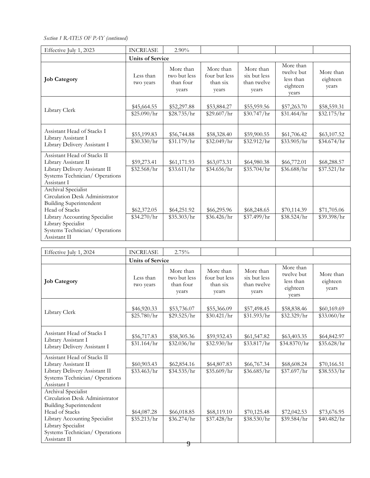*Section 1 RATES OF PAY (continued)*

| Effective July 1, 2023                                                                                                                                                                                            | <b>INCREASE</b>            | $2.90\%$                                        |                                                 |                                                   |                                                           |                                |
|-------------------------------------------------------------------------------------------------------------------------------------------------------------------------------------------------------------------|----------------------------|-------------------------------------------------|-------------------------------------------------|---------------------------------------------------|-----------------------------------------------------------|--------------------------------|
|                                                                                                                                                                                                                   | <b>Units of Service</b>    |                                                 |                                                 |                                                   |                                                           |                                |
| <b>Job Category</b>                                                                                                                                                                                               | Less than<br>two years     | More than<br>two but less<br>than four<br>years | More than<br>four but less<br>than six<br>years | More than<br>six but less<br>than twelve<br>years | More than<br>twelve but<br>less than<br>eighteen<br>years | More than<br>eighteen<br>years |
| Library Clerk                                                                                                                                                                                                     | \$45,664.55<br>\$25.090/hr | \$52,297.88<br>\$28.735/hr                      | \$53,884.27<br>\$29.607/hr                      | \$55,959.56<br>\$30.747/hr                        | \$57,263.70<br>\$31.464/hr                                | \$58,559.31<br>\$32.175/hr     |
| Assistant Head of Stacks I<br>Library Assistant I<br>Library Delivery Assistant I                                                                                                                                 | \$55,199.83<br>\$30.330/hr | \$56,744.88<br>\$31.179/hr                      | \$58,328.40<br>\$32.049/hr                      | \$59,900.55<br>\$32.912/hr                        | \$61,706.42<br>\$33.905/hr                                | \$63,107.52<br>\$34.674/hr     |
| Assistant Head of Stacks II<br>Library Assistant II<br>Library Delivery Assistant II<br>Systems Technician/Operations<br>Assistant I                                                                              | \$59,273.41<br>\$32.568/hr | \$61,171.93<br>\$33.611/hr                      | \$63,073.31<br>\$34.656/hr                      | \$64,980.38<br>\$35.704/hr                        | \$66,772.01<br>\$36.688/hr                                | \$68,288.57<br>\$37.521/hr     |
| Archival Specialist<br>Circulation Desk Administrator<br><b>Building Superintendent</b><br>Head of Stacks<br>Library Accounting Specialist<br>Library Specialist<br>Systems Technician/Operations<br>Assistant II | \$62,372.05<br>\$34.270/hr | \$64,251.92<br>\$35.303/hr                      | \$66,295.96<br>\$36.426/hr                      | \$68,248.65<br>\$37.499/hr                        | \$70,114.39<br>\$38.524/hr                                | \$71,705.06<br>\$39.398/hr     |

| Effective July 1, 2024                                                                                                                                                                                            | <b>INCREASE</b>            | 2.75%                                           |                                                 |                                                   |                                                           |                                |
|-------------------------------------------------------------------------------------------------------------------------------------------------------------------------------------------------------------------|----------------------------|-------------------------------------------------|-------------------------------------------------|---------------------------------------------------|-----------------------------------------------------------|--------------------------------|
|                                                                                                                                                                                                                   | <b>Units of Service</b>    |                                                 |                                                 |                                                   |                                                           |                                |
| <b>Job Category</b>                                                                                                                                                                                               | Less than<br>two years     | More than<br>two but less<br>than four<br>years | More than<br>four but less<br>than six<br>years | More than<br>six but less<br>than twelve<br>years | More than<br>twelve but<br>less than<br>eighteen<br>vears | More than<br>eighteen<br>years |
| Library Clerk                                                                                                                                                                                                     | \$46,920.33<br>\$25.780/hr | \$53,736.07<br>\$29.525/hr                      | \$55,366.09<br>\$30.421/hr                      | \$57,498.45<br>\$31.593/hr                        | \$58,838.46<br>\$32.329/hr                                | \$60,169.69<br>\$33.060/hr     |
|                                                                                                                                                                                                                   |                            |                                                 |                                                 |                                                   |                                                           |                                |
| Assistant Head of Stacks I<br>Library Assistant I<br>Library Delivery Assistant I                                                                                                                                 | \$56,717.83<br>\$31.164/hr | \$58,305.36<br>\$32.036/hr                      | \$59,932.43<br>\$32.930/hr                      | \$61,547.82<br>\$33.817/hr                        | \$63,403.35<br>\$34.8370/hr                               | \$64,842.97<br>\$35.628/hr     |
| Assistant Head of Stacks II<br>Library Assistant II<br>Library Delivery Assistant II<br>Systems Technician/Operations<br>Assistant I                                                                              | \$60,903.43<br>\$33.463/hr | \$62,854.16<br>\$34.535/hr                      | \$64,807.83<br>\$35.609/hr                      | \$66,767.34<br>\$36.685/hr                        | \$68,608.24<br>\$37.697/hr                                | \$70,166.51<br>\$38.553/hr     |
| Archival Specialist<br>Circulation Desk Administrator<br><b>Building Superintendent</b><br>Head of Stacks<br>Library Accounting Specialist<br>Library Specialist<br>Systems Technician/Operations<br>Assistant II | \$64,087.28<br>\$35.213/hr | \$66,018.85<br>\$36.274/hr                      | \$68,119.10<br>\$37.428/hr                      | \$70,125.48<br>\$38.530/hr                        | \$72,042.53<br>\$39.584/hr                                | \$73,676.95<br>\$40.482/hr     |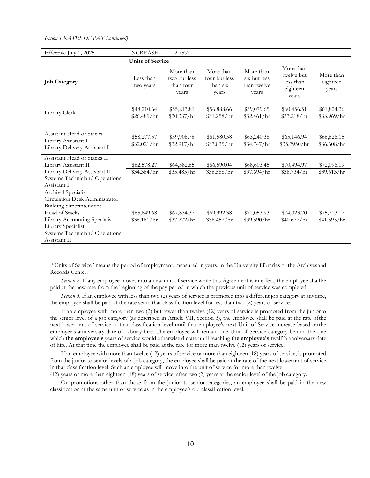*Section 1 RATES OF PAY (continued)*

| Effective July 1, 2025                                                                                                                                                                                            | <b>INCREASE</b>            | 2.75%                                           |                                                 |                                                   |                                                           |                                |
|-------------------------------------------------------------------------------------------------------------------------------------------------------------------------------------------------------------------|----------------------------|-------------------------------------------------|-------------------------------------------------|---------------------------------------------------|-----------------------------------------------------------|--------------------------------|
|                                                                                                                                                                                                                   | <b>Units of Service</b>    |                                                 |                                                 |                                                   |                                                           |                                |
| <b>Job Category</b>                                                                                                                                                                                               | Less than<br>two years     | More than<br>two but less<br>than four<br>years | More than<br>four but less<br>than six<br>years | More than<br>six but less<br>than twelve<br>years | More than<br>twelve but<br>less than<br>eighteen<br>vears | More than<br>eighteen<br>years |
| Library Clerk                                                                                                                                                                                                     | \$48,210.64<br>\$26.489/hr | \$55,213.81<br>\$30.337/hr                      | \$56,888.66<br>\$31.258/hr                      | \$59,079.65<br>\$32.461/hr                        | \$60,456.51<br>\$33.218/hr                                | \$61,824.36<br>\$33.969/hr     |
| Assistant Head of Stacks I<br>Library Assistant I<br>Library Delivery Assistant I                                                                                                                                 | \$58,277.57<br>\$32.021/hr | \$59,908.76<br>\$32.917/hr                      | \$61,580.58<br>\$33.835/hr                      | \$63,240.38<br>\$34.747/hr                        | \$65,146.94<br>\$35.7950/hr                               | \$66,626.15<br>\$36.608/hr     |
| Assistant Head of Stacks II<br>Library Assistant II<br>Library Delivery Assistant II<br>Systems Technician/Operations<br>Assistant I                                                                              | \$62,578.27<br>\$34.384/hr | \$64,582.65<br>\$35.485/hr                      | \$66,590.04<br>\$36.588/hr                      | \$68,603.45<br>\$37.694/hr                        | \$70,494.97<br>\$38.734/hr                                | \$72,096.09<br>\$39.613/hr     |
| Archival Specialist<br>Circulation Desk Administrator<br><b>Building Superintendent</b><br>Head of Stacks<br>Library Accounting Specialist<br>Library Specialist<br>Systems Technician/Operations<br>Assistant II | \$65,849.68<br>\$36.181/hr | \$67,834.37<br>\$37.272/hr                      | \$69,992.38<br>\$38.457/hr                      | \$72,053.93<br>\$39.590/hr                        | \$74,023.70<br>\$40.672/hr                                | \$75,703.07<br>\$41.595/hr     |

"Units of Service" means the period of employment, measured in years, in the University Libraries or the Archivesand Records Center.

*Section 2*. If any employee moves into a new unit of service while this Agreement is in effect, the employee shallbe paid at the new rate from the beginning of the pay period in which the previous unit of service was completed.

*Section 3*. If an employee with less than two (2) years of service is promoted into a different job category at anytime, the employee shall be paid at the rate set in that classification level for less than two (2) years of service.

If an employee with more than two (2) but fewer than twelve (12) years of service is promoted from the juniorto the senior level of a job category (as described in Article VII, Section 3), the employee shall be paid at the rate ofthe next lower unit of service in that classification level until that employee's next Unit of Service increase based onthe employee's anniversary date of Library hire. The employee will remain one Unit of Service category behind the one which **the employee's** years of service would otherwise dictate until reaching **the employee's** twelfth anniversary date of hire. At that time the employee shall be paid at the rate for more than twelve (12) years of service.

If an employee with more than twelve (12) years of service or more than eighteen (18) years of service, is promoted from the junior to senior levels of a job category, the employee shall be paid at the rate of the next lowerunit of service in that classification level. Such an employee will move into the unit of service for more than twelve

(12) years or more than eighteen (18) years of service, after two (2) years at the senior level of the job category.

On promotions other than those from the junior to senior categories, an employee shall be paid in the new classification at the same unit of service as in the employee's old classification level.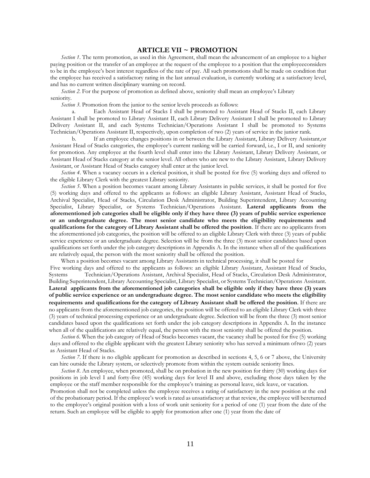# **ARTICLE VII ~ PROMOTION**

<span id="page-10-0"></span>*Section 1*. The term promotion, as used in this Agreement, shall mean the advancement of an employee to a higher paying position or the transfer of an employee at the request of the employee to a position that the employeeconsiders to be in the employee's best interest regardless of the rate of pay. All such promotions shall be made on condition that the employee has received a satisfactory rating in the last annual evaluation, is currently working at a satisfactory level, and has no current written disciplinary warning on record.

*Section* 2. For the purpose of promotion as defined above, seniority shall mean an employee's Library seniority.

*Section* 3. Promotion from the junior to the senior levels proceeds as follows:

a. Each Assistant Head of Stacks I shall be promoted to Assistant Head of Stacks II, each Library Assistant I shall be promoted to Library Assistant II, each Library Delivery Assistant I shall be promoted to Library Delivery Assistant II, and each Systems Technician/Operations Assistant I shall be promoted to Systems Technician/Operations Assistant II, respectively, upon completion of two (2) years of service in the junior rank.

b. If an employee changes positions in or between the Library Assistant, Library Delivery Assistant,or Assistant Head of Stacks categories, the employee's current ranking will be carried forward, i.e., I or II, and seniority for promotion. Any employee at the fourth level shall enter into the Library Assistant, Library Delivery Assistant, or Assistant Head of Stacks category at the senior level. All others who are new to the Library Assistant, Library Delivery Assistant, or Assistant Head of Stacks category shall enter at the junior level.

*Section 4*. When a vacancy occurs in a clerical position, it shall be posted for five (5) working days and offered to the eligible Library Clerk with the greatest Library seniority.

*Section 5*. When a position becomes vacant among Library Assistants in public services, it shall be posted for five (5) working days and offered to the applicants as follows: an eligible Library Assistant, Assistant Head of Stacks, Archival Specialist, Head of Stacks, Circulation Desk Administrator, Building Superintendent, Library Accounting Specialist, Library Specialist, or Systems Technician/Operations Assistant. **Lateral applicants from the aforementioned job categories shall be eligible only if they have three (3) years of public service experience or an undergraduate degree. The most senior candidate who meets the eligibility requirements and qualifications for the category of Library Assistant shall be offered the position**. If there are no applicants from the aforementioned job categories, the position will be offered to an eligible Library Clerk with three (3) years of public service experience or an undergraduate degree. Selection will be from the three (3) most senior candidates based upon qualifications set forth under the job category descriptions in Appendix A. In the instance when all of the qualifications are relatively equal, the person with the most seniority shall be offered the position.

When a position becomes vacant among Library Assistants in technical processing, it shall be posted for

Five working days and offered to the applicants as follows: an eligible Library Assistant, Assistant Head of Stacks, Systems Technician/Operations Assistant, Archival Specialist, Head of Stacks, Circulation Desk Administrator, Building Superintendent, Library Accounting Specialist, Library Specialist, or Systems Technician/Operations Assistant. **Lateral applicants from the aforementioned job categories shall be eligible only if they have three (3) years of public service experience or an undergraduate degree. The most senior candidate who meets the eligibility requirements and qualifications for the category of Library Assistant shall be offered the position**. If there are no applicants from the aforementioned job categories, the position will be offered to an eligible Library Clerk with three (3) years of technical processing experience or an undergraduate degree. Selection will be from the three (3) most senior candidates based upon the qualifications set forth under the job category descriptions in Appendix A. In the instance when all of the qualifications are relatively equal, the person with the most seniority shall be offered the position.

*Section 6*. When the job category of Head of Stacks becomes vacant, the vacancy shall be posted for five (5) working days and offered to the eligible applicant with the greatest Library seniority who has served a minimum oftwo (2) years as Assistant Head of Stacks.

*Section* 7. If there is no eligible applicant for promotion as described in sections 4, 5, 6 or 7 above, the University can hire outside the Library system, or selectively promote from within the system outside seniority lines.

*Section 8*. An employee, when promoted, shall be on probation in the new position for thirty (30) working days for positions in job level I and forty-five (45) working days for level II and above, excluding those days taken by the employee or the staff member responsible for the employee's training as personal leave, sick leave, or vacation.

Promotion shall not be completed unless the employee receives a rating of satisfactory in the new position at the end of the probationary period. If the employee's work is rated as unsatisfactory at that review, the employee will bereturned to the employee's original position with a loss of work unit seniority for a period of one (1) year from the date of the return. Such an employee will be eligible to apply for promotion after one (1) year from the date of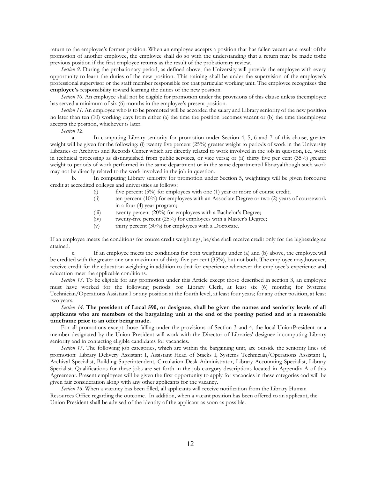return to the employee's former position. When an employee accepts a position that has fallen vacant as a result ofthe promotion of another employee, the employee shall do so with the understanding that a return may be made tothe previous position if the first employee returns as the result of the probationary review.

*Section 9*. During the probationary period, as defined above, the University will provide the employee with every opportunity to learn the duties of the new position. This training shall be under the supervision of the employee's professional supervisor or the staff member responsible for that particular working unit. The employee recognizes **the employee's** responsibility toward learning the duties of the new position.

*Section 10*. An employee shall not be eligible for promotion under the provisions of this clause unless theemployee has served a minimum of six (6) months in the employee's present position.

*Section 11*. An employee who is to be promoted will be accorded the salary and Library seniority of the new position no later than ten (10) working days from either (a) the time the position becomes vacant or (b) the time theemployee accepts the position, whichever is later.

*Section 12*.

a. In computing Library seniority for promotion under Section 4, 5, 6 and 7 of this clause, greater weight will be given for the following: (i) twenty five percent (25%) greater weight to periods of work in the University Libraries or Archives and Records Center which are directly related to work involved in the job in question, i.e., work in technical processing as distinguished from public services, or vice versa; or (ii) thirty five per cent (35%) greater weight to periods of work performed in the same department or in the same departmental libraryalthough such work may not be directly related to the work involved in the job in question.

b. In computing Library seniority for promotion under Section 5, weightings will be given forcourse credit at accredited colleges and universities as follows:

- (i) five percent  $(5\%)$  for employees with one (1) year or more of course credit;
- $\langle$ ii) ten percent (10%) for employees with an Associate Degree or two (2) years of coursework in a four (4) year program;
- (iii) twenty percent (20%) for employees with a Bachelor's Degree;
- (iv) twenty-five percent (25%) for employees with a Master's Degree;
- (v) thirty percent (30%) for employees with a Doctorate.

If an employee meets the conditions for course credit weightings, he/she shall receive credit only for the highestdegree attained.

If an employee meets the conditions for both weightings under (a) and (b) above, the employee will be credited with the greater one or a maximum of thirty-five per cent (35%), but not both. The employee may,however, receive credit for the education weighting in addition to that for experience whenever the employee's experience and education meet the applicable conditions.

*Section 13*. To be eligible for any promotion under this Article except those described in section 3, an employee must have worked for the following periods: for Library Clerk, at least six (6) months; for Systems Technician/Operations Assistant I or any position at the fourth level, at least four years; for any other position, at least two years.

# *Section 14*. **The president of Local 590, or designee, shall be given the names and seniority levels of all applicants who are members of the bargaining unit at the end of the posting period and at a reasonable timeframe prior to an offer being made.**

For all promotions except those falling under the provisions of Section 3 and 4, the local UnionPresident or a member designated by the Union President will work with the Director of Libraries' designee incomputing Library seniority and in contacting eligible candidates for vacancies.

*Section 15*. The following job categories, which are within the bargaining unit, are outside the seniority lines of promotion: Library Delivery Assistant I, Assistant Head of Stacks I, Systems Technician/Operations Assistant I, Archival Specialist, Building Superintendent, Circulation Desk Administrator, Library Accounting Specialist, Library Specialist. Qualifications for these jobs are set forth in the job category descriptions located in Appendix A of this Agreement. Present employees will be given the first opportunity to apply for vacancies in these categories and will be given fair consideration along with any other applicants for the vacancy.

<span id="page-11-0"></span>*Section 16*. When a vacancy has been filled, all applicants will receive notification from the Library Human Resources Office regarding the outcome. In addition, when a vacant position has been offered to an applicant, the Union President shall be advised of the identity of the applicant as soon as possible.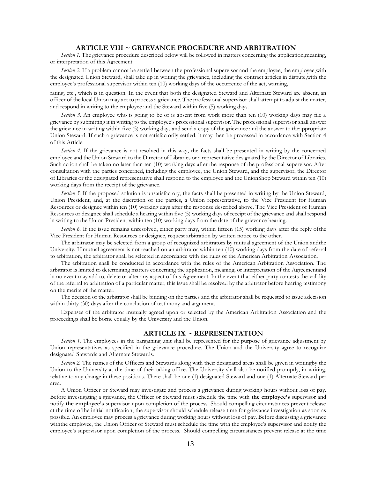# **ARTICLE VIII ~ GRIEVANCE PROCEDURE AND ARBITRATION**

*Section* 1. The grievance procedure described below will be followed in matters concerning the application,meaning, or interpretation of this Agreement.

*Section 2.* If a problem cannot be settled between the professional supervisor and the employee, the employee,with the designated Union Steward, shall take up in writing the grievance, including the contract articles in dispute,with the employee's professional supervisor within ten (10) working days of the occurrence of the act, warning,

rating, etc., which is in question. In the event that both the designated Steward and Alternate Steward are absent, an officer of the local Union may act to process a grievance. The professional supervisor shall attempt to adjust the matter, and respond in writing to the employee and the Steward within five (5) working days.

*Section 3.* An employee who is going to be or is absent from work more than ten (10) working days may file a grievance by submitting it in writing to the employee's professional supervisor. The professional supervisor shall answer the grievance in writing within five (5) working days and send a copy of the grievance and the answer to theappropriate Union Steward. If such a grievance is not satisfactorily settled, it may then be processed in accordance with Section 4 of this Article.

*Section 4.* If the grievance is not resolved in this way, the facts shall be presented in writing by the concerned employee and the Union Steward to the Director of Libraries or a representative designated by the Director of Libraries. Such action shall be taken no later than ten (10) working days after the response of the professional supervisor. After consultation with the parties concerned, including the employee, the Union Steward, and the supervisor, the Director of Libraries or the designated representative shall respond to the employee and the UnionShop Steward within ten (10) working days from the receipt of the grievance.

*Section 5.* If the proposed solution is unsatisfactory, the facts shall be presented in writing by the Union Steward, Union President, and, at the discretion of the parties, a Union representative, to the Vice President for Human Resources or designee within ten (10) working days after the response described above. The Vice President of Human Resources or designee shall schedule a hearing within five (5) working days of receipt of the grievance and shall respond in writing to the Union President within ten (10) working days from the date of the grievance hearing.

*Section 6.* If the issue remains unresolved, either party may, within fifteen (15) working days after the reply of the Vice President for Human Resources or designee, request arbitration by written notice to the other.

The arbitrator may be selected from a group of recognized arbitrators by mutual agreement of the Union andthe University. If mutual agreement is not reached on an arbitrator within ten (10) working days from the date of referral to arbitration, the arbitrator shall be selected in accordance with the rules of the American Arbitration Association.

The arbitration shall be conducted in accordance with the rules of the American Arbitration Association. The arbitrator is limited to determining matters concerning the application, meaning, or interpretation of the Agreementand in no event may add to, delete or alter any aspect of this Agreement. In the event that either party contests the validity of the referral to arbitration of a particular matter, this issue shall be resolved by the arbitrator before hearing testimony on the merits of the matter.

The decision of the arbitrator shall be binding on the parties and the arbitrator shall be requested to issue adecision within thirty (30) days after the conclusion of testimony and argument.

Expenses of the arbitrator mutually agreed upon or selected by the American Arbitration Association and the proceedings shall be borne equally by the University and the Union.

## **ARTICLE IX ~ REPRESENTATION**

<span id="page-12-0"></span>*Section 1.* The employees in the bargaining unit shall be represented for the purpose of grievance adjustment by Union representatives as specified in the grievance procedure. The Union and the University agree to recognize designated Stewards and Alternate Stewards.

*Section 2.* The names of the Officers and Stewards along with their designated areas shall be given in writingby the Union to the University at the time of their taking office. The University shall also be notified promptly, in writing, relative to any change in these positions. There shall be one (1) designated Steward and one (1) Alternate Steward per area.

A Union Officer or Steward may investigate and process a grievance during working hours without loss of pay. Before investigating a grievance, the Officer or Steward must schedule the time with **the employee's** supervisor and notify **the employee's** supervisor upon completion of the process. Should compelling circumstances prevent release at the time ofthe initial notification, the supervisor should schedule release time for grievance investigation as soon as possible. An employee may process a grievance during working hours without loss of pay. Before discussing a grievance withthe employee, the Union Officer or Steward must schedule the time with the employee's supervisor and notify the employee's supervisor upon completion of the process. Should compelling circumstances prevent release at the time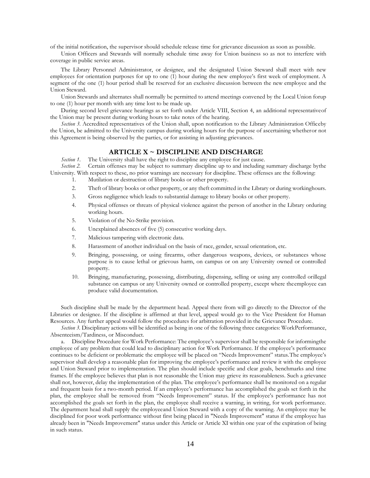of the initial notification, the supervisor should schedule release time for grievance discussion as soon as possible.

Union Officers and Stewards will normally schedule time away for Union business so as not to interfere with coverage in public service areas.

The Library Personnel Administrator, or designee, and the designated Union Steward shall meet with new employees for orientation purposes for up to one (1) hour during the new employee's first week of employment. A segment of the one (1) hour period shall be reserved for an exclusive discussion between the new employee and the Union Steward.

Union Stewards and alternates shall normally be permitted to attend meetings convened by the Local Union forup to one (1) hour per month with any time lost to be made up.

During second level grievance hearings as set forth under Article VIII, Section 4, an additional representativeof the Union may be present during working hours to take notes of the hearing.

*Section 3.* Accredited representatives of the Union shall, upon notification to the Library Administration Officeby the Union, be admitted to the University campus during working hours for the purpose of ascertaining whetheror not this Agreement is being observed by the parties, or for assisting in adjusting grievances.

# **ARTICLE X ~ DISCIPLINE AND DISCHARGE**

*Section 1*. The University shall have the right to discipline any employee for just cause.

<span id="page-13-0"></span>*Section 2.* Certain offenses may be subject to summary discipline up to and including summary discharge bythe University. With respect to these, no prior warnings are necessary for discipline. These offenses are the following:

- 1. Mutilation or destruction of library books or other property.
- 2. Theft of library books or other property, or any theft committed in the Library or during workinghours.
- 3. Gross negligence which leads to substantial damage to library books or other property.
- 4. Physical offenses or threats of physical violence against the person of another in the Library orduring working hours.
- 5. Violation of the No-Strike provision.
- 6. Unexplained absences of five (5) consecutive working days.
- 7. Malicious tampering with electronic data.
- 8. Harassment of another individual on the basis of race, gender, sexual orientation, etc.
- 9. Bringing, possessing, or using firearms, other dangerous weapons, devices, or substances whose purpose is to cause lethal or grievous harm, on campus or on any University owned or controlled property.
- 10. Bringing, manufacturing, possessing, distributing, dispensing, selling or using any controlled orillegal substance on campus or any University owned or controlled property, except where theemployee can produce valid documentation.

Such discipline shall be made by the department head. Appeal there from will go directly to the Director of the Libraries or designee. If the discipline is affirmed at that level, appeal would go to the Vice President for Human Resources. Any further appeal would follow the procedures for arbitration provided in the Grievance Procedure.

*Section 3.* Disciplinary actions will be identified as being in one of the following three categories: WorkPerformance, Absenteeism/Tardiness, or Misconduct.

a. Discipline Procedure for Work Performance: The employee's supervisor shall be responsible for informingthe employee of any problem that could lead to disciplinary action for Work Performance. If the employee's performance continues to be deficient or problematic the employee will be placed on "Needs Improvement" status.The employee's supervisor shall develop a reasonable plan for improving the employee's performance and review it with the employee and Union Steward prior to implementation. The plan should include specific and clear goals, benchmarks and time frames. If the employee believes that plan is not reasonable the Union may grieve its reasonableness. Such a grievance shall not, however, delay the implementation of the plan. The employee's performance shall be monitored on a regular and frequent basis for a two-month period. If an employee's performance has accomplished the goals set forth in the plan, the employee shall be removed from "Needs Improvement" status. If the employee's performance has not accomplished the goals set forth in the plan, the employee shall receive a warning, in writing, for work performance. The department head shall supply the employeeand Union Steward with a copy of the warning. An employee may be disciplined for poor work performance without first being placed in "Needs Improvement" status if the employee has already been in "Needs Improvement" status under this Article or Article XI within one year of the expiration of being in such status.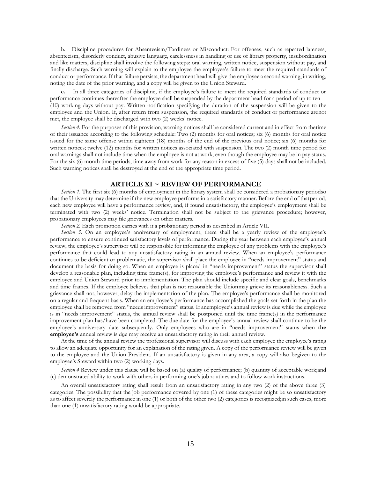b. Discipline procedures for Absenteeism/Tardiness or Misconduct: For offenses, such as repeated lateness, absenteeism, disorderly conduct, abusive language, carelessness in handling or use of library property, insubordination and like matters, discipline shall involve the following steps: oral warning, written notice, suspension without pay, and finally discharge. Such warning will explain to the employee the employee's failure to meet the required standards of conduct or performance. If that failure persists, the department head will give the employee a second warning, in writing, noting the date of the prior warning, and a copy will be given to the Union Steward.

**c.** In all three categories of discipline, if the employee's failure to meet the required standards of conduct or performance continues thereafter the employee shall be suspended by the department head for a period of up to ten (10) working days without pay. Written notification specifying the duration of the suspension will be given to the employee and the Union. If, after return from suspension, the required standards of conduct or performance arenot met, the employee shall be discharged with two (2) weeks' notice.

*Section 4.* For the purposes of this provision, warning notices shall be considered current and in effect from thetime of their issuance according to the following schedule: Two (2) months for oral notices; six (6) months for oral notice issued for the same offense within eighteen (18) months of the end of the previous oral notice; six (6) months for written notices; twelve (12) months for written notices associated with suspension. The two (2) month time period for oral warnings shall not include time when the employee is not at work, even though the employee may be in pay status. For the six (6) month time periods, time away from work for any reason in excess of five (5) days shall not be included. Such warning notices shall be destroyed at the end of the appropriate time period.

## **ARTICLE XI ~ REVIEW OF PERFORMANCE**

<span id="page-14-0"></span>*Section* 1. The first six (6) months of employment in the library system shall be considered a probationary periodso that the University may determine if the new employee performs in a satisfactory manner. Before the end of thatperiod, each new employee will have a performance review, and, if found unsatisfactory, the employee's employment shall be terminated with two (2) weeks' notice. Termination shall not be subject to the grievance procedure; however, probationary employees may file grievances on other matters.

*Section 2.* Each promotion carries with it a probationary period as described in Article VII.

*Section 3*. On an employee's anniversary of employment, there shall be a yearly review of the employee's performance to ensure continued satisfactory levels of performance. During the year between each employee's annual review, the employee's supervisor will be responsible for informing the employee of any problems with the employee's performance that could lead to any unsatisfactory rating in an annual review. When an employee's performance continues to be deficient or problematic, the supervisor shall place the employee in "needs improvement" status and document the basis for doing so. When an employee is placed in "needs improvement" status the supervisor shall develop a reasonable plan, including time frame(s), for improving the employee's performance and review it with the employee and Union Steward prior to implementation**.** The plan should include specific and clear goals, benchmarks and time frames. If the employee believes that plan is not reasonable the Unionmay grieve its reasonableness. Such a grievance shall not, however, delay the implementation of the plan. The employee's performance shall be monitored on a regular and frequent basis. When an employee's performance has accomplished the goals set forth in the plan the employee shall be removed from "needs improvement" status. If anemployee's annual review is due while the employee is in "needs improvement" status, the annual review shall be postponed until the time frame(s) in the performance improvement plan has/have been completed. The due date for the employee's annual review shall continue to be the employee's anniversary date subsequently. Only employees who are in "needs improvement" status when **the employee's** annual review is due may receive an unsatisfactory rating in their annual review.

At the time of the annual review the professional supervisor will discuss with each employee the employee's rating to allow an adequate opportunity for an explanation of the rating given. A copy of the performance review will be given to the employee and the Union President. If an unsatisfactory is given in any area, a copy will also begiven to the employee's Steward within two (2) working days.

*Section* 4 Review under this clause will be based on (a) quality of performance; (b) quantity of acceptable work;and (c) demonstrated ability to work with others in performing one's job routines and to follow work instructions.

An overall unsatisfactory rating shall result from an unsatisfactory rating in any two (2) of the above three (3) categories. The possibility that the job performance covered by one (1) of these categories might be so unsatisfactory as to affect severely the performance in one (1) or both of the other two (2) categories is recognized;in such cases, more than one (1) unsatisfactory rating would be appropriate.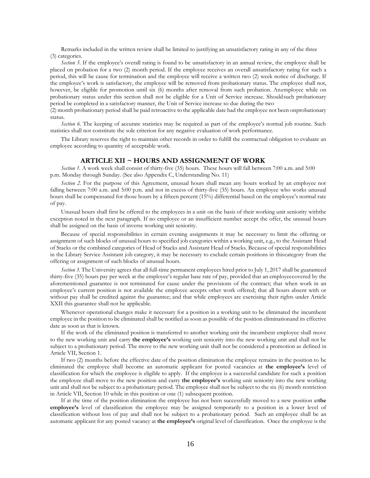Remarks included in the written review shall be limited to justifying an unsatisfactory rating in any of the three (3) categories.

*Section 5.* If the employee's overall rating is found to be unsatisfactory in an annual review, the employee shall be placed on probation for a two (2) month period. If the employee receives an overall unsatisfactory rating for such a period, this will be cause for termination and the employee will receive a written two (2) week notice of discharge. If the employee's work is satisfactory, the employee will be removed from probationary status. The employee shall not, however, be eligible for promotion until six (6) months after removal from such probation. Anemployee while on probationary status under this section shall not be eligible for a Unit of Service increase. Shouldsuch probationary period be completed in a satisfactory manner, the Unit of Service increase so due during the two

(2) month probationary period shall be paid retroactive to the applicable date had the employee not been onprobationary status.

*Section 6.* The keeping of accurate statistics may be required as part of the employee's normal job routine. Such statistics shall not constitute the sole criterion for any negative evaluation of work performance.

The Library reserves the right to maintain other records in order to fulfill the contractual obligation to evaluate an employee according to quantity of acceptable work.

#### **ARTICLE XII ~ HOURS AND ASSIGNMENT OF WORK**

<span id="page-15-0"></span>*Section 1.* A work week shall consist of thirty-five (35) hours. These hours will fall between 7:00 a.m. and 5:00 p.m. Monday through Sunday. (See also Appendix C, Understanding No. 11)

*Section 2.* For the purpose of this Agreement, unusual hours shall mean any hours worked by an employee not falling between 7:00 a.m. and 5:00 p.m. and not in excess of thirty-five (35) hours. An employee who works unusual hours shall be compensated for those hours by a fifteen percent (15%) differential based on the employee's normal rate of pay.

Unusual hours shall first be offered to the employees in a unit on the basis of their working unit seniority withthe exception noted in the next paragraph. If no employee or an insufficient number accept the offer, the unusual hours shall be assigned on the basis of inverse working unit seniority.

Because of special responsibilities in certain evening assignments it may be necessary to limit the offering or assignment of such blocks of unusual hours to specified job categories within a working unit, e.g., to the Assistant Head of Stacks or the combined categories of Head of Stacks and Assistant Head of Stacks. Because of special responsibilities in the Library Service Assistant job category, it may be necessary to exclude certain positions in thiscategory from the offering or assignment of such blocks of unusual hours.

*Section 3*. The University agrees that all full-time permanent employees hired prior to July 1, 2017 shall be guaranteed thirty-five (35) hours pay per week at the employee's regular base rate of pay, provided that an employeecovered by the aforementioned guarantee is not terminated for cause under the provisions of the contract; that when work in an employee's current position is not available the employee accepts other work offered; that all hours absent with or without pay shall be credited against the guarantee; and that while employees are exercising their rights under Article XXII this guarantee shall not be applicable.

Whenever operational changes make it necessary for a position in a working unit to be eliminated the incumbent employee in the position to be eliminated shall be notified as soon as possible of the position eliminationand its effective date as soon as that is known.

If the work of the eliminated position is transferred to another working unit the incumbent employee shall move to the new working unit and carry **the employee's** working unit seniority into the new working unit and shall not be subject to a probationary period. The move to the new working unit shall not be considered a promotion as defined in Article VII, Section 1.

If two (2) months before the effective date of the position elimination the employee remains in the position to be eliminated the employee shall become an automatic applicant for posted vacancies at **the employee's** level of classification for which the employee is eligible to apply. If the employee is a successful candidate for such a position the employee shall move to the new position and carry **the employee's** working unit seniority into the new working unit and shall not be subject to a probationary period. The employee shall not be subject to the six (6) month restriction in Article VII, Section 10 while in this position or one (1) subsequent position.

If at the time of the position elimination the employee has not been successfully moved to a new position at**the employee's** level of classification the employee may be assigned temporarily to a position in a lower level of classification without loss of pay and shall not be subject to a probationary period. Such an employee shall be an automatic applicant for any posted vacancy at **the employee's** original level of classification. Once the employee is the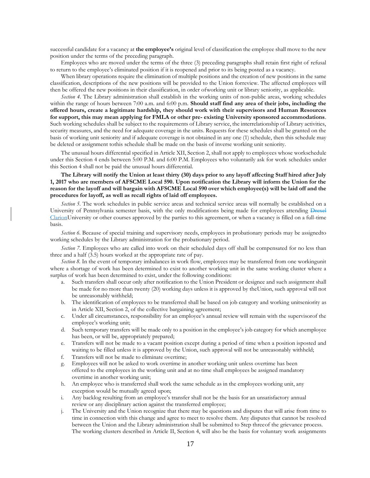successful candidate for a vacancy at **the employee's** original level of classification the employee shall move to the new position under the terms of the preceding paragraph.

Employees who are moved under the terms of the three (3) preceding paragraphs shall retain first right of refusal to return to the employee's eliminated position if it is reopened and prior to its being posted as a vacancy.

When library operations require the elimination of multiple positions and the creation of new positions in the same classification, descriptions of the new positions will be provided to the Union forreview. The affected employees will then be offered the new positions in their classification, in order ofworking unit or library seniority, as applicable.

*Section 4*. The Library administration shall establish in the working units of non-public areas, working schedules within the range of hours between 7:00 a.m. and 6:00 p.m. **Should staff find any area of their jobs, including the offered hours, create a legitimate hardship, they should work with their supervisors and Human Resources for support, this may mean applying for FMLA or other pre- existing University sponsored accommodations**. Such working schedules shall be subject to the requirements of Library service, the interrelationship of Library activities, security measures, and the need for adequate coverage in the units. Requests for these schedules shall be granted on the basis of working unit seniority and if adequate coverage is not obtained in any one (1) schedule, then this schedule may be deleted or assignment tothis schedule shall be made on the basis of inverse working unit seniority.

The unusual hours differential specified in Article XII, Section 2, shall not apply to employees whose workschedule under this Section 4 ends between 5:00 P.M. and 6:00 P.M. Employees who voluntarily ask for work schedules under this Section 4 shall not be paid the unusual hours differential.

# **The Library will notify the Union at least thirty (30) days prior to any layoff affecting Staff hired after July 1, 2017 who are members of AFSCME Local 590. Upon notification the Library will inform the Union for the reason for the layoff and will bargain with AFSCME Local 590 over which employee(s) will be laid off and the procedures for layoff, as well as recall rights of laid off employees.**

*Section 5.* The work schedules in public service areas and technical service areas will normally be established on a University of Pennsylvania semester basis, with the only modifications being made for employees attending Drexel ClarionUniversity or other courses approved by the parties to this agreement, or when a vacancy is filled on a full-time basis.

*Section 6.* Because of special training and supervisory needs, employees in probationary periods may be assignedto working schedules by the Library administration for the probationary period.

*Section 7.* Employees who are called into work on their scheduled days off shall be compensated for no less than three and a half (3.5) hours worked at the appropriate rate of pay.

*Section 8.* In the event of temporary imbalances in work flow, employees may be transferred from one workingunit where a shortage of work has been determined to exist to another working unit in the same working cluster where a surplus of work has been determined to exist, under the following conditions:

- a. Such transfers shall occur only after notification to the Union President or designee and such assignment shall be made for no more than twenty (20) working days unless it is approved by theUnion, such approval will not be unreasonably withheld;
- b. The identification of employees to be transferred shall be based on job category and working unitseniority as in Article XII, Section 2, of the collective bargaining agreement;
- c. Under all circumstances, responsibility for an employee's annual review will remain with the supervisorof the employee's working unit;
- d. Such temporary transfers will be made only to a position in the employee's job category for which anemployee has been, or will be, appropriately prepared;
- e. Transfers will not be made to a vacant position except during a period of time when a position isposted and waiting to be filled unless it is approved by the Union, such approval will not be unreasonably withheld;
- f. Transfers will not be made to eliminate overtime;
- g. Employees will not be asked to work overtime in another working unit unless overtime has been offered to the employees in the working unit and at no time shall employees be assigned mandatory overtime in another working unit;
- h. An employee who is transferred shall work the same schedule as in the employees working unit, any exception would be mutually agreed upon;
- i. Any backlog resulting from an employee's transfer shall not be the basis for an unsatisfactory annual review or any disciplinary action against the transferred employee;
- j. The University and the Union recognize that there may be questions and disputes that will arise from time to time in connection with this change and agree to meet to resolve them. Any disputes that cannot be resolved between the Union and the Library administration shall be submitted to Step threeof the grievance process. The working clusters described in Article II, Section 4, will also be the basis for voluntary work assignments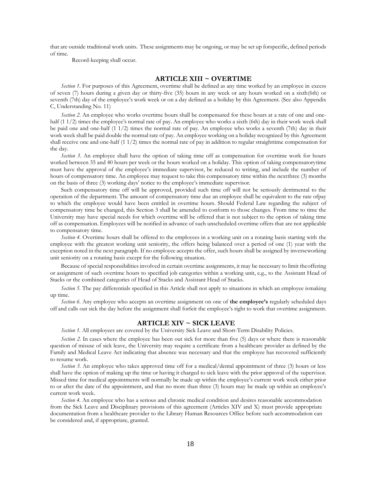that are outside traditional work units. These assignments may be ongoing, or may be set up forspecific, defined periods of time.

Record-keeping shall occur.

# **ARTICLE XIII ~ OVERTIME**

<span id="page-17-0"></span>*Section 1.* For purposes of this Agreement, overtime shall be defined as any time worked by an employee in excess of seven (7) hours during a given day or thirty-five (35) hours in any week or any hours worked on a sixth(6th) or seventh (7th) day of the employee's work week or on a day defined as a holiday by this Agreement. (See also Appendix C, Understanding No. 11)

*Section 2.* An employee who works overtime hours shall be compensated for these hours at a rate of one and onehalf (1 1/2) times the employee's normal rate of pay. An employee who works a sixth (6th) day in their work week shall be paid one and one-half (1 1/2) times the normal rate of pay. An employee who works a seventh (7th) day in their work week shall be paid double the normal rate of pay. An employee working on a holiday recognized by this Agreement shall receive one and one-half (1 1/2) times the normal rate of pay in addition to regular straighttime compensation for the day.

*Section 3.* An employee shall have the option of taking time off as compensation for overtime work for hours worked between 35 and 40 hours per week or the hours worked on a holiday. This option of taking compensatorytime must have the approval of the employee's immediate supervisor, be reduced to writing, and include the number of hours of compensatory time. An employee may request to take this compensatory time within the nextthree (3) months on the basis of three (3) working days' notice to the employee's immediate supervisor.

Such compensatory time off will be approved, provided such time off will not be seriously detrimental to the operation of the department. The amount of compensatory time due an employee shall be equivalent to the rate ofpay to which the employee would have been entitled in overtime hours. Should Federal Law regarding the subject of compensatory time be changed, this Section 3 shall be amended to conform to those changes. From time to time the University may have special needs for which overtime will be offered that is not subject to the option of taking time off as compensation. Employees will be notified in advance of such unscheduled overtime offers that are not applicable to compensatory time.

*Section 4.* Overtime hours shall be offered to the employees in a working unit on a rotating basis starting with the employee with the greatest working unit seniority, the offers being balanced over a period of one (1) year with the exception noted in the next paragraph. If no employee accepts the offer, such hours shall be assigned by inverseworking unit seniority on a rotating basis except for the following situation.

Because of special responsibilities involved in certain overtime assignments, it may be necessary to limit theoffering or assignment of such overtime hours to specified job categories within a working unit, e.g., to the Assistant Head of Stacks or the combined categories of Head of Stacks and Assistant Head of Stacks.

*Section 5*. The pay differentials specified in this Article shall not apply to situations in which an employee ismaking up time.

*Section 6.* Any employee who accepts an overtime assignment on one of **the employee's** regularly scheduled days off and calls out sick the day before the assignment shall forfeit the employee's right to work that overtime assignment.

## **ARTICLE XIV ~ SICK LEAVE**

*Section 1.* All employees are covered by the University Sick Leave and Short-Term Disability Policies.

<span id="page-17-1"></span>*Section* 2. In cases where the employee has been out sick for more than five (5) days or where there is reasonable question of misuse of sick leave, the University may require a certificate from a healthcare provider as defined by the Family and Medical Leave Act indicating that absence was necessary and that the employee has recovered sufficiently to resume work.

*Section 3.* An employee who takes approved time off for a medical/dental appointment of three (3) hours or less shall have the option of making up the time or having it charged to sick leave with the prior approval of the supervisor. Missed time for medical appointments will normally be made up within the employee's current work week either prior to or after the date of the appointment, and that no more than three (3) hours may be made up within an employee's current work week.

*Section 4.* An employee who has a serious and chronic medical condition and desires reasonable accommodation from the Sick Leave and Disciplinary provisions of this agreement (Articles XIV and X) must provide appropriate documentation from a healthcare provider to the Library Human Resources Office before such accommodation can be considered and, if appropriate, granted.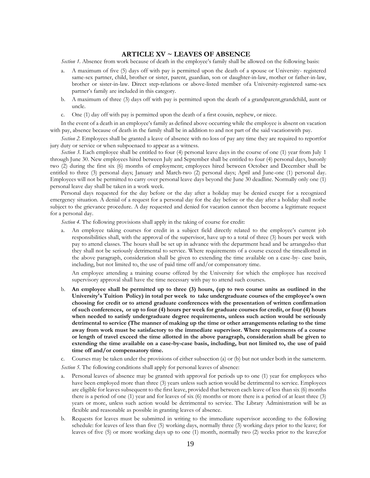# **ARTICLE XV ~ LEAVES OF ABSENCE**

*Section 1.* Absence from work because of death in the employee's family shall be allowed on the following basis:

- a. A maximum of five (5) days off with pay is permitted upon the death of a spouse or University- registered same-sex partner, child, brother or sister, parent, guardian, son or daughter-in-law, mother or father-in-law, brother or sister-in-law. Direct step-relations or above-listed member ofa University-registered same-sex partner's family are included in this category.
- b. A maximum of three (3) days off with pay is permitted upon the death of a grandparent,grandchild, aunt or uncle.
- c. One (1) day off with pay is permitted upon the death of a first cousin, nephew, or niece.

In the event of a death in an employee's family as defined above occurring while the employee is absent on vacation with pay, absence because of death in the family shall be in addition to and not part of the said vacationwith pay.

*Section 2.* Employees shall be granted a leave of absence with no loss of pay any time they are required to reportfor jury duty or service or when subpoenaed to appear as a witness.

*Section 3*. Each employee shall be entitled to four (4) personal leave days in the course of one (1) year from July 1 through June 30. New employees hired between July and September shall be entitled to four (4) personal days, butonly two (2) during the first six (6) months of employment; employees hired between October and December shall be entitled to three (3) personal days; January and March-two (2) personal days; April and June-one (1) personal day. Employees will not be permitted to carry over personal leave days beyond the June 30 deadline. Normally only one (1) personal leave day shall be taken in a work week.

Personal days requested for the day before or the day after a holiday may be denied except for a recognized emergency situation. A denial of a request for a personal day for the day before or the day after a holiday shall notbe subject to the grievance procedure. A day requested and denied for vacation cannot then become a legitimate request for a personal day.

*Section 4.* The following provisions shall apply in the taking of course for credit:

a. An employee taking courses for credit in a subject field directly related to the employee's current job responsibilities shall, with the approval of the supervisor, have up to a total of three (3) hours per week with pay to attend classes. The hours shall be set up in advance with the department head and be arrangedso that they shall not be seriously detrimental to service. Where requirements of a course exceed the timeallotted in the above paragraph, consideration shall be given to extending the time available on a case-by- case basis, including, but not limited to, the use of paid time off and/or compensatory time.

An employee attending a training course offered by the University for which the employee has received supervisory approval shall have the time necessary with pay to attend such courses.

b. **An employee shall be permitted up to three (3) hours, (up to two course units as outlined in the University's Tuition Policy) in total per week to take undergraduate courses of the employee's own choosing for credit or to attend graduate conferences with the presentation of written confirmation of such conferences, or up to four (4) hours per week for graduate courses for credit, or four (4) hours when needed to satisfy undergraduate degree requirements, unless such action would be seriously detrimental to service (The manner of making up the time or other arrangements relating to the time away from work must be satisfactory to the immediate supervisor. Where requirements of a course or length of travel exceed the time allotted in the above paragraph, consideration shall be given to extending the time available on a case-by-case basis, including, but not limited to, the use of paid time off and/or compensatory time.**

c. Courses may be taken under the provisions of either subsection (a) or (b) but not under both in the sameterm.

*Section 5.* The following conditions shall apply for personal leaves of absence:

- a. Personal leaves of absence may be granted with approval for periods up to one (1) year for employees who have been employed more than three (3) years unless such action would be detrimental to service. Employees are eligible for leaves subsequent to the first leave, provided that between each leave of less than six (6) months there is a period of one (1) year and for leaves of six (6) months or more there is a period of at least three (3) years or more, unless such action would be detrimental to service. The Library Administration will be as flexible and reasonable as possible in granting leaves of absence.
- b. Requests for leaves must be submitted in writing to the immediate supervisor according to the following schedule: for leaves of less than five (5) working days, normally three (3) working days prior to the leave; for leaves of five (5) or more working days up to one (1) month, normally two (2) weeks prior to the leave;for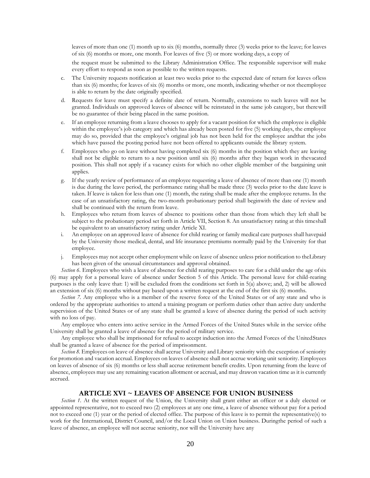leaves of more than one (1) month up to six (6) months, normally three (3) weeks prior to the leave; for leaves of six (6) months or more, one month. For leaves of five (5) or more working days, a copy of

the request must be submitted to the Library Administration Office. The responsible supervisor will make every effort to respond as soon as possible to the written requests.

- c. The University requests notification at least two weeks prior to the expected date of return for leaves ofless than six (6) months; for leaves of six (6) months or more, one month, indicating whether or not theemployee is able to return by the date originally specified.
- d. Requests for leave must specify a definite date of return. Normally, extensions to such leaves will not be granted. Individuals on approved leaves of absence will be reinstated in the same job category, but therewill be no guarantee of their being placed in the same position.
- If an employee returning from a leave chooses to apply for a vacant position for which the employee is eligible within the employee's job category and which has already been posted for five (5) working days, the employee may do so, provided that the employee's original job has not been held for the employee andthat the jobs which have passed the posting period have not been offered to applicants outside the library system.
- f. Employees who go on leave without having completed six (6) months in the position which they are leaving shall not be eligible to return to a new position until six (6) months after they began work in thevacated position. This shall not apply if a vacancy exists for which no other eligible member of the bargaining unit applies.
- g. If the yearly review of performance of an employee requesting a leave of absence of more than one (1) month is due during the leave period, the performance rating shall be made three (3) weeks prior to the date leave is taken. If leave is taken for less than one (1) month, the rating shall be made after the employee returns. In the case of an unsatisfactory rating, the two-month probationary period shall beginwith the date of review and shall be continued with the return from leave.
- h. Employees who return from leaves of absence to positions other than those from which they left shall be subject to the probationary period set forth in Article VII, Section 8. An unsatisfactory rating at this timeshall be equivalent to an unsatisfactory rating under Article XI.
- i. An employee on an approved leave of absence for child rearing or family medical care purposes shall havepaid by the University those medical, dental, and life insurance premiums normally paid by the University for that employee.
- j. Employees may not accept other employment while on leave of absence unless prior notification to theLibrary has been given of the unusual circumstances and approval obtained.

*Section 6.* Employees who wish a leave of absence for child rearing purposes to care for a child under the age ofsix (6) may apply for a personal leave of absence under Section 5 of this Article. The personal leave for child-rearing purposes is the only leave that: 1) will be excluded from the conditions set forth in 5(a) above; and, 2) will be allowed an extension of six (6) months without pay based upon a written request at the end of the first six (6) months.

*Section 7.* Any employee who is a member of the reserve force of the United States or of any state and who is ordered by the appropriate authorities to attend a training program or perform duties other than active duty underthe supervision of the United States or of any state shall be granted a leave of absence during the period of such activity with no loss of pay.

Any employee who enters into active service in the Armed Forces of the United States while in the service ofthe University shall be granted a leave of absence for the period of military service.

Any employee who shall be imprisoned for refusal to accept induction into the Armed Forces of the UnitedStates shall be granted a leave of absence for the period of imprisonment.

*Section 8.* Employees on leave of absence shall accrue University and Library seniority with the exception of seniority for promotion and vacation accrual. Employees on leaves of absence shall not accrue working unit seniority. Employees on leaves of absence of six (6) months or less shall accrue retirement benefit credits. Upon returning from the leave of absence, employees may use any remaining vacation allotment or accrual, and may drawon vacation time as it is currently accrued.

# **ARTICLE XVI ~ LEAVES OF ABSENCE FOR UNION BUSINESS**

<span id="page-19-0"></span>*Section 1.* At the written request of the Union, the University shall grant either an officer or a duly elected or appointed representative, not to exceed two (2) employees at any one time, a leave of absence without pay for a period not to exceed one (1) year or the period of elected office. The purpose of this leave is to permit the representative(s) to work for the International, District Council, and/or the Local Union on Union business. Duringthe period of such a leave of absence, an employee will not accrue seniority, nor will the University have any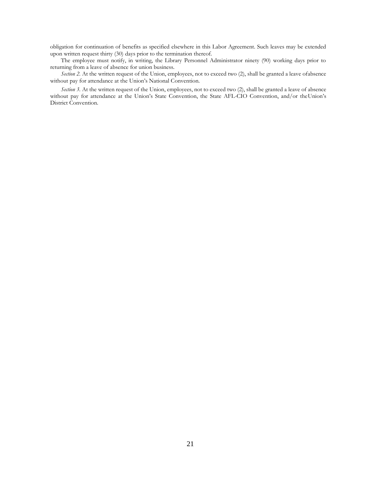obligation for continuation of benefits as specified elsewhere in this Labor Agreement. Such leaves may be extended upon written request thirty (30) days prior to the termination thereof.

The employee must notify, in writing, the Library Personnel Administrator ninety (90) working days prior to returning from a leave of absence for union business.

*Section 2.* At the written request of the Union, employees, not to exceed two (2), shall be granted a leave ofabsence without pay for attendance at the Union's National Convention.

*Section 3.* At the written request of the Union, employees, not to exceed two (2), shall be granted a leave of absence without pay for attendance at the Union's State Convention, the State AFL-CIO Convention, and/or theUnion's District Convention.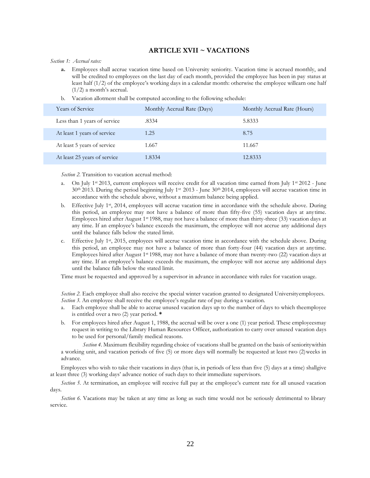# **ARTICLE XVII ~ VACATIONS**

#### *Section 1: Accrual rates:*

- **a.** Employees shall accrue vacation time based on University seniority. Vacation time is accrued monthly, and will be credited to employees on the last day of each month, provided the employee has been in pay status at least half (1/2) of the employee's working days in a calendar month: otherwise the employee willearn one half  $(1/2)$  a month's accrual.
- b. Vacation allotment shall be computed according to the following schedule:

| <b>Years of Service</b>      | Monthly Accrual Rate (Days) | Monthly Accrual Rate (Hours) |
|------------------------------|-----------------------------|------------------------------|
| Less than 1 years of service | .8334                       | 5.8333                       |
| At least 1 years of service  | 1.25                        | 8.75                         |
| At least 5 years of service  | 1.667                       | 11.667                       |
| At least 25 years of service | 1.8334                      | 12.8333                      |

*Section 2.* Transition to vacation accrual method:

- On July 1<sup>st</sup> 2013, current employees will receive credit for all vacation time earned from July 1<sup>st</sup> 2012 June 30th 2013. During the period beginning July 1st 2013 - June 30th 2014, employees will accrue vacation time in accordance with the schedule above, without a maximum balance being applied.
- b. Effective July 1st, 2014, employees will accrue vacation time in accordance with the schedule above. During this period, an employee may not have a balance of more than fifty-five (55) vacation days at anytime. Employees hired after August 1<sup>st</sup> 1988, may not have a balance of more than thirty-three (33) vacation days at any time. If an employee's balance exceeds the maximum, the employee will not accrue any additional days until the balance falls below the stated limit.
- c. Effective July 1st, 2015, employees will accrue vacation time in accordance with the schedule above. During this period, an employee may not have a balance of more than forty-four (44) vacation days at anytime. Employees hired after August 1<sup>st</sup> 1988, may not have a balance of more than twenty-two (22) vacation days at any time. If an employee's balance exceeds the maximum, the employee will not accrue any additional days until the balance falls below the stated limit.

Time must be requested and approved by a supervisor in advance in accordance with rules for vacation usage.

*Section 2.* Each employee shall also receive the special winter vacation granted to designated Universityemployees. *Section* 3. An employee shall receive the employee's regular rate of pay during a vacation.

- a. Each employee shall be able to accrue unused vacation days up to the number of days to which theemployee is entitled over a two (2) year period. **\***
- b. For employees hired after August 1, 1988, the accrual will be over a one (1) year period. These employeesmay request in writing to the Library Human Resources Officer, authorization to carry over unused vacation days to be used for personal/family medical reasons.

*Section 4.* Maximum flexibility regarding choice of vacations shall be granted on the basis of senioritywithin a working unit, and vacation periods of five (5) or more days will normally be requested at least two (2)weeks in advance.

Employees who wish to take their vacations in days (that is, in periods of less than five (5) days at a time) shallgive at least three (3) working days' advance notice of such days to their immediate supervisors.

*Section 5.* At termination, an employee will receive full pay at the employee's current rate for all unused vacation days.

<span id="page-21-0"></span>*Section 6.* Vacations may be taken at any time as long as such time would not be seriously detrimental to library service.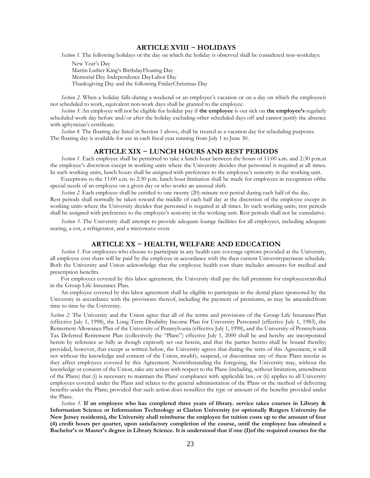# **ARTICLE XVIII ~ HOLIDAYS**

*Section 1.* The following holidays or the day on which the holiday is observed shall be considered non-workdays:

New Year's Day Martin Luther King's BirthdayFloating Day Memorial Day Independence DayLabor Day Thanksgiving Day and the following FridayChristmas Day

*Section 2.* When a holiday falls during a weekend or an employee's vacation or on a day on which the employeeis not scheduled to work, equivalent non-work days shall be granted to the employee.

*Section 3.* An employee will not be eligible for holiday pay if **the employee** is out sick on **the employee's** regularly scheduled work day before and/or after the holiday excluding other scheduled days off and cannot justify the absence with aphysician's certificate.

<span id="page-22-0"></span>*Section* 4. The floating day listed in Section 1 above, shall be treated as a vacation day for scheduling purposes. The floating day is available for use in each fiscal year running from July 1 to June 30.

## **ARTICLE XIX ~ LUNCH HOURS AND REST PERIODS**

*Section 1*. Each employee shall be permitted to take a lunch hour between the hours of 11:00 a.m. and 2:30 p.m.at the employee's discretion except in working units where the University decides that personnel is required at all times. In such working units, lunch hours shall be assigned with preference to the employee's seniority in the working unit.

Exceptions to the 11:00 a.m. to 2:30 p.m. lunch hour limitation shall be made for employees in recognition ofthe special needs of an employee on a given day or who works an unusual shift.

*Section 2.* Each employee shall be entitled to one twenty (20)-minute rest period during each half of the day. Rest periods shall normally be taken toward the middle of each half day at the discretion of the employee except in working units where the University decides that personnel is required at all times. In such working units, rest periods shall be assigned with preference to the employee's seniority in the working unit. Rest periods shall not be cumulative.

*Section 3.* The University shall attempt to provide adequate lounge facilities for all employees, including adequate seating, a cot, a refrigerator, and a microwave oven.

#### **ARTICLE XX ~ HEALTH, WELFARE AND EDUCATION**

<span id="page-22-1"></span>*Section 1*. For employees who choose to participate in any health care coverage options provided at the University, all employee cost share will be paid by the employee in accordance with the then current Universitypayment schedule. Both the University and Union acknowledge that the employee health cost share includes amounts for medical and prescription benefits.

For employees covered by this labor agreement, the University shall pay the full premium for employeesenrolled in the Group Life Insurance Plan.

An employee covered by this labor agreement shall be eligible to participate in the dental plans sponsored by the University in accordance with the provisions thereof, including the payment of premiums, as may be amendedfrom time to time by the University.

*Section 2*. The University and the Union agree that all of the terms and provisions of the Group Life InsurancePlan (effective July 1, 1998), the Long-Term Disability Income Plan for University Personnel (effective July 1, 1983), the Retirement Allowance Plan of the University of Pennsylvania (effective July 1, 1998), and the University of Pennsylvania Tax Deferred Retirement Plan (collectively the "Plans") effective July 1, 2000 shall be and hereby are incorporated herein by reference as fully as though expressly set out herein, and that the parties hereto shall be bound thereby; provided, however, that except as written below, the University agrees that during the term of this Agreement, it will not without the knowledge and consent of the Union, modify, suspend, or discontinue any of these Plans insofar as they affect employees covered by this Agreement. Notwithstanding the foregoing, the University may, without the knowledge or consent of the Union, take any action with respect to the Plans (including, without limitation, amendment of the Plans) that (i) is necessary to maintain the Plans' compliance with applicable law, or (ii) applies to all University employees covered under the Plans and relates to the general administration of the Plans or the method of delivering benefits under the Plans; provided that such action does notaffect the type or amount of the benefits provided under the Plans.

*Section 3.* **If an employee who has completed three years of library. service takes courses in Library & Information Science or Information Technology at Clarion University (or optionally Rutgers University for New Jersey residents), the University shall reimburse the employee for tuition costs up to the amount of four (4) credit hours per quarter, upon satisfactory completion of the course, until the employee has obtained a Bachelor's or Master's degree in Library Science. It is understood that if one (I)of the required courses for the**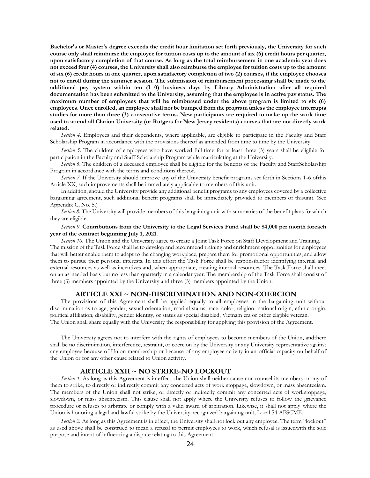**Bachelor's or Master's degree exceeds the credit hour limitation set forth previously, the University for such course only shall reimburse the employee for tuition costs up to the amount of six (6) credit hours per quarter, upon satisfactory completion of that course. As long as the total reimbursement in one academic year does not exceed four (4) courses, the University shall also reimburse the employee for tuition costs up to the amount of six (6) credit hours in one quarter, upon satisfactory completion of two (2) courses, if the employee chooses not to enroll during the summer session. The submission of reimbursement processing shall be made to the additional pay system within ten (I 0) business days by Library Administration after all required documentation has been submitted to the University, assuming that the employee is in active pay status. The maximum number of employees that will be reimbursed under the above program is limited to six (6) employees. Once enrolled, an employee shall not be bumped from the program unless the employee interrupts studies for more than three (3) consecutive terms. New participants are required to make up the work time used to attend all Clarion University (or Rutgers for New Jersey residents) courses that are not directly work related.**

*Section 4.* Employees and their dependents, where applicable, are eligible to participate in the Faculty and Staff Scholarship Program in accordance with the provisions thereof as amended from time to time by the University.

*Section* 5. The children of employees who have worked full-time for at least three (3) years shall be eligible for participation in the Faculty and Staff Scholarship Program while matriculating at the University.

*Section 6.* The children of a deceased employee shall be eligible for the benefits of the Faculty and StaffScholarship Program in accordance with the terms and conditions thereof.

*Section 7.* If the University should improve any of the University benefit programs set forth in Sections 1-6 ofthis Article XX, such improvements shall be immediately applicable to members of this unit.

In addition, should the University provide any additional benefit programs to any employees covered by a collective bargaining agreement, such additional benefit programs shall be immediately provided to members of thisunit. (See Appendix C, No. 5.)

*Section 8.* The University will provide members of this bargaining unit with summaries of the benefit plans forwhich they are eligible.

## *Section 9.* **Contributions from the University to the Legal Services Fund shall be \$4,000 per month foreach year of the contract beginning July 1, 2021.**

*Section 10*. The Union and the University agree to create a Joint Task Force on Staff Development and Training. The mission of the Task Force shall be to develop and recommend training and enrichment opportunities for employees that will better enable them to adapt to the changing workplace, prepare them for promotional opportunities, and allow them to pursue their personal interests. In this effort the Task Force shall be responsiblefor identifying internal and external resources as well as incentives and, when appropriate, creating internal resources. The Task Force shall meet on an as-needed basis but no less than quarterly in a calendar year. The membership of the Task Force shall consist of three (3) members appointed by the University and three (3) members appointed by the Union.

#### **ARTICLE XXI ~ NON-DISCRIMINATION AND NON-COERCION**

<span id="page-23-0"></span>The provisions of this Agreement shall be applied equally to all employees in the bargaining unit without discrimination as to age, gender, sexual orientation, marital status, race, color, religion, national origin, ethnic origin, political affiliation, disability, gender identity, or status as special disabled, Vietnam era or other eligible veteran. The Union shall share equally with the University the responsibility for applying this provision of the Agreement.

The University agrees not to interfere with the rights of employees to become members of the Union, andthere shall be no discrimination, interference, restraint, or coercion by the University or any University representative against any employee because of Union membership or because of any employee activity in an official capacity on behalf of the Union or for any other cause related to Union activity.

# **ARTICLE XXII ~ NO STRIKE-NO LOCKOUT**

<span id="page-23-1"></span>*Section 1.* As long as this Agreement is in effect, the Union shall neither cause nor counsel its members or any of them to strike, to directly or indirectly commit any concerted acts of work stoppage, slowdown, or mass absenteeism. The members of the Union shall not strike, or directly or indirectly commit any concerted acts of workstoppage, slowdown, or mass absenteeism. This clause shall not apply where the University refuses to follow the grievance procedure or refuses to arbitrate or comply with a valid award of arbitration. Likewise, it shall not apply where the Union is honoring a legal and lawful strike by the University-recognized bargaining unit, Local 54 AFSCME.

*Section 2.* As long as this Agreement is in effect, the University shall not lock out any employee. The term "lockout" as used above shall be construed to mean a refusal to permit employees to work, which refusal is issuedwith the sole purpose and intent of influencing a dispute relating to this Agreement.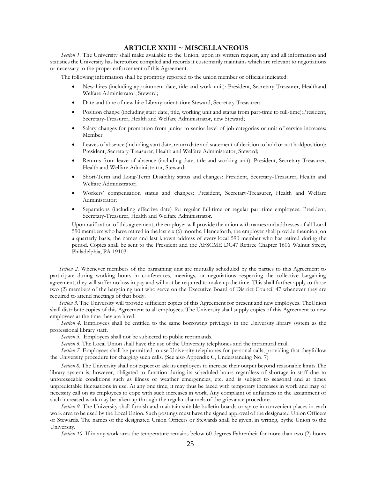# **ARTICLE XXIII ~ MISCELLANEOUS**

<span id="page-24-0"></span>*Section 1.* The University shall make available to the Union, upon its written request, any and all information and statistics the University has heretofore compiled and records it customarily maintains which are relevant to negotiations or necessary to the proper enforcement of this Agreement.

The following information shall be promptly reported to the union member or officials indicated:

- New hires (including appointment date, title and work unit): President, Secretary-Treasurer, Healthand Welfare Administrator, Steward;
- Date and time of new hire Library orientation: Steward, Secretary-Treasurer;
- Position change (including start date, title, working unit and status from part-time to full-time):President, Secretary-Treasurer, Health and Welfare Administrator, new Steward;
- Salary changes for promotion from junior to senior level of job categories or unit of service increases: Member
- Leaves of absence (including start date, return date and statement of decision to hold or not holdposition): President, Secretary-Treasurer, Health and Welfare Administrator, Steward;
- Returns from leave of absence (including date, title and working unit): President, Secretary-Treasurer, Health and Welfare Administrator, Steward;
- Short-Term and Long-Term Disability status and changes: President, Secretary-Treasurer, Health and Welfare Administrator;
- Workers' compensation status and changes: President, Secretary-Treasurer, Health and Welfare Administrator;
- Separations (including effective date) for regular full-time or regular part-time employees: President, Secretary-Treasurer, Health and Welfare Administrator.

Upon ratification of this agreement, the employer will provide the union with names and addresses of all Local 590 members who have retired in the last six (6) months. Henceforth, the employer shall provide theunion, on a quarterly basis, the names and last known address of every local 590 member who has retired during the period. Copies shall be sent to the President and the AFSCME DC47 Retiree Chapter 1606 Walnut Street, Philadelphia, PA 19103.

*Section 2.* Whenever members of the bargaining unit are mutually scheduled by the parties to this Agreement to participate during working hours in conferences, meetings, or negotiations respecting the collective bargaining agreement, they will suffer no loss in pay and will not be required to make up the time. This shall further apply to those two (2) members of the bargaining unit who serve on the Executive Board of District Council 47 whenever they are required to attend meetings of that body.

*Section 3.* The University will provide sufficient copies of this Agreement for present and new employees. TheUnion shall distribute copies of this Agreement to all employees. The University shall supply copies of this Agreement to new employees at the time they are hired.

*Section 4.* Employees shall be entitled to the same borrowing privileges in the University library system as the professional library staff.

*Section 5.* Employees shall not be subjected to public reprimands.

*Section* 6. The Local Union shall have the use of the University telephones and the intramural mail.

*Section 7.* Employees shall be permitted to use University telephones for personal calls, providing that theyfollow the University procedure for charging such calls. (See also Appendix C, Understanding No. 7)

*Section 8.* The University shall not expect or ask its employees to increase their output beyond reasonable limits.The library system is, however, obligated to function during its scheduled hours regardless of shortage in staff due to unforeseeable conditions such as illness or weather emergencies, etc. and is subject to seasonal and at times unpredictable fluctuations in use. At any one time, it may thus be faced with temporary increases in work and may of necessity call on its employees to cope with such increases in work. Any complaint of unfairness in the assignment of such increased work may be taken up through the regular channels of the grievance procedure.

*Section 9.* The University shall furnish and maintain suitable bulletin boards or space in convenient places in each work area to be used by the Local Union. Such postings must have the signed approval of the designated Union Officers or Stewards. The names of the designated Union Officers or Stewards shall be given, in writing, bythe Union to the University.

*Section 10.* If in any work area the temperature remains below 60 degrees Fahrenheit for more than two (2) hours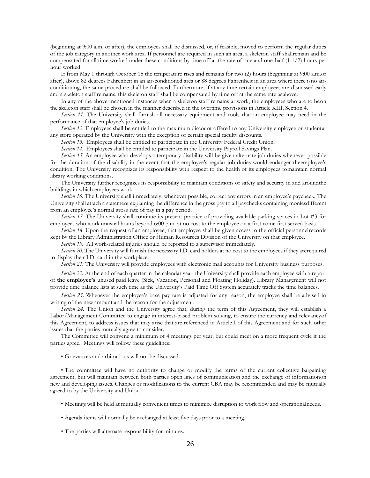(beginning at 9:00 a.m. or after), the employees shall be dismissed, or, if feasible, moved to perform the regular duties of the job category in another work area. If personnel are required in such an area, a skeleton staff shallremain and be compensated for all time worked under these conditions by time off at the rate of one and one-half (1 1/2) hours per hour worked.

If from May 1 through October 15 the temperature rises and remains for two (2) hours (beginning at 9:00 a.m.or after), above 82 degrees Fahrenheit in an air-conditioned area or 88 degrees Fahrenheit in an area where there isno airconditioning, the same procedure shall be followed. Furthermore, if at any time certain employees are dismissed early and a skeleton staff remains, this skeleton staff shall be compensated by time off at the same rate asabove.

In any of the above-mentioned instances when a skeleton staff remains at work, the employees who are to beon the skeleton staff shall be chosen in the manner described in the overtime provisions in Article XIII, Section 4.

*Section* 11. The University shall furnish all necessary equipment and tools that an employee may need in the performance of that employee's job duties.

*Section 12.* Employees shall be entitled to the maximum discount offered to any University employee or studentat any store operated by the University with the exception of certain special faculty discounts.

*Section 13.* Employees shall be entitled to participate in the University Federal Credit Union.

*Section 14.* Employees shall be entitled to participate in the University Payroll Savings Plan.

*Section 15.* An employee who develops a temporary disability will be given alternate job duties whenever possible for the duration of the disability in the event that the employee's regular job duties would endanger theemployee's condition. The University recognizes its responsibility with respect to the health of its employees tomaintain normal library working conditions.

The University further recognizes its responsibility to maintain conditions of safety and security in and aroundthe buildings in which employees work.

*Section 16.* The University shall immediately, whenever possible, correct any errors in an employee's paycheck. The University shall attach a statement explaining the difference in the gross pay to all paychecks containing moniesdifferent from an employee's normal gross rate of pay in a pay period.

*Section 17.* The University shall continue its present practice of providing available parking spaces in Lot #3 for employees who work unusual hours beyond 6:00 p.m. at no cost to the employee on a first come first served basis.

*Section 18.* Upon the request of an employee, that employee shall be given access to the official personnelrecords kept by the Library Administration Office or Human Resources Division of the University on that employee.

*Section 19.* All work-related injuries should be reported to a supervisor immediately.

*Section 20.* The University will furnish the necessary I.D. card holders at no cost to the employees if they arerequired to display their I.D. card in the workplace.

*Section 21.* The University will provide employees with electronic mail accounts for University business purposes.

*Section 22.* At the end of each quarter in the calendar year, the University shall provide each employee with a report of **the employee's** unused paid leave (Sick, Vacation, Personal and Floating Holiday). Library Management will not provide time balance lists at such time as the University's Paid Time Off System accurately tracks the time balances.

*Section 23.* Whenever the employee's base pay rate is adjusted for any reason, the employee shall be advised in writing of the new amount and the reason for the adjustment.

*Section 24.* The Union and the University agree that, during the term of this Agreement, they will establish a Labor/Management Committee to engage in interest-based problem solving, to ensure the currency and relevancyof this Agreement, to address issues that may arise that are referenced in Article I of this Agreement and for such other issues that the parties mutually agree to consider.

The Committee will convene a minimum of 4 meetings per year, but could meet on a more frequent cycle if the parties agree. Meetings will follow these guidelines:

• Grievances and arbitrations will not be discussed.

• The committee will have no authority to change or modify the terms of the current collective bargaining agreement, but will maintain between both parties open lines of communication and the exchange of informationon new and developing issues. Changes or modifications to the current CBA may be recommended and may be mutually agreed to by the University and Union.

• Meetings will be held at mutually convenient times to minimize disruption to work flow and operationalneeds.

- Agenda items will normally be exchanged at least five days prior to a meeting.
- The parties will alternate responsibility for minutes.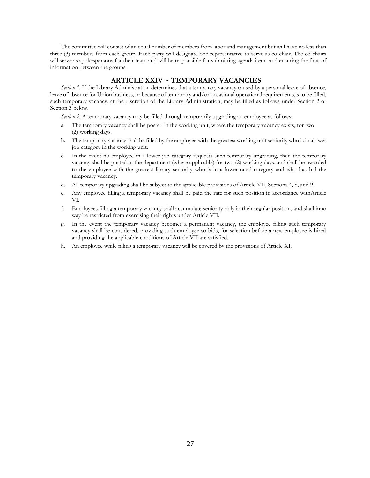The committee will consist of an equal number of members from labor and management but will have no less than three (3) members from each group. Each party will designate one representative to serve as co-chair. The co-chairs will serve as spokespersons for their team and will be responsible for submitting agenda items and ensuring the flow of information between the groups.

# **ARTICLE XXIV ~ TEMPORARY VACANCIES**

<span id="page-26-0"></span>*Section 1.* If the Library Administration determines that a temporary vacancy caused by a personal leave of absence, leave of absence for Union business, or because of temporary and/or occasional operational requirements,is to be filled, such temporary vacancy, at the discretion of the Library Administration, may be filled as follows under Section 2 or Section 3 below.

*Section 2.* A temporary vacancy may be filled through temporarily upgrading an employee as follows:

- a. The temporary vacancy shall be posted in the working unit, where the temporary vacancy exists, for two (2) working days.
- b. The temporary vacancy shall be filled by the employee with the greatest working unit seniority who is in alower job category in the working unit.
- c. In the event no employee in a lower job category requests such temporary upgrading, then the temporary vacancy shall be posted in the department (where applicable) for two (2) working days, and shall be awarded to the employee with the greatest library seniority who is in a lower-rated category and who has bid the temporary vacancy.
- d. All temporary upgrading shall be subject to the applicable provisions of Article VII, Sections 4, 8, and 9.
- e. Any employee filling a temporary vacancy shall be paid the rate for such position in accordance withArticle VI.
- f. Employees filling a temporary vacancy shall accumulate seniority only in their regular position, and shall inno way be restricted from exercising their rights under Article VII.
- g. In the event the temporary vacancy becomes a permanent vacancy, the employee filling such temporary vacancy shall be considered, providing such employee so bids, for selection before a new employee is hired and providing the applicable conditions of Article VII are satisfied.
- h. An employee while filling a temporary vacancy will be covered by the provisions of Article XI.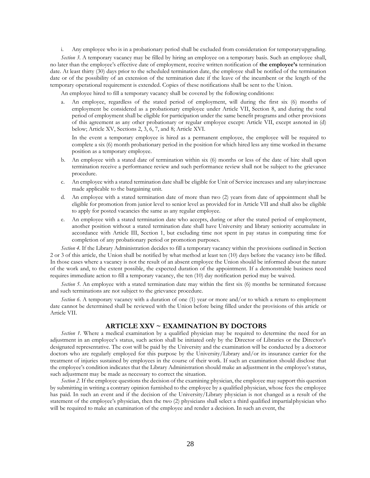i. Any employee who is in a probationary period shall be excluded from consideration for temporaryupgrading.

*Section 3.* A temporary vacancy may be filled by hiring an employee on a temporary basis. Such an employee shall, no later than the employee's effective date of employment, receive written notification of **the employee's** termination date. At least thirty (30) days prior to the scheduled termination date, the employee shall be notified of the termination date or of the possibility of an extension of the termination date if the leave of the incumbent or the length of the temporary operational requirement is extended. Copies of these notifications shall be sent to the Union.

An employee hired to fill a temporary vacancy shall be covered by the following conditions:

a. An employee, regardless of the stated period of employment, will during the first six (6) months of employment be considered as a probationary employee under Article VII, Section 8, and during the total period of employment shall be eligible for participation under the same benefit programs and other provisions of this agreement as any other probationary or regular employee except: Article VII, except asnoted in (d) below; Article XV, Sections 2, 3, 6, 7, and 8; Article XVI.

In the event a temporary employee is hired as a permanent employee, the employee will be required to complete a six (6) month probationary period in the position for which hired less any time worked in thesame position as a temporary employee.

- b. An employee with a stated date of termination within six (6) months or less of the date of hire shall upon termination receive a performance review and such performance review shall not be subject to the grievance procedure.
- c. An employee with a stated termination date shall be eligible for Unit of Service increases and any salaryincrease made applicable to the bargaining unit.
- d. An employee with a stated termination date of more than two (2) years from date of appointment shall be eligible for promotion from junior level to senior level as provided for in Article VII and shall also be eligible to apply for posted vacancies the same as any regular employee.
- e. An employee with a stated termination date who accepts, during or after the stated period of employment, another position without a stated termination date shall have University and library seniority accumulate in accordance with Article III, Section 1, but excluding time not spent in pay status in computing time for completion of any probationary period or promotion purposes.

*Section 4.* If the Library Administration decides to fill a temporary vacancy within the provisions outlined in Section 2 or 3 of this article, the Union shall be notified by what method at least ten (10) days before the vacancy isto be filled. In those cases where a vacancy is not the result of an absent employee the Union should be informed about the nature of the work and, to the extent possible, the expected duration of the appointment. If a demonstrable business need requires immediate action to fill a temporary vacancy, the ten (10) day notification period may be waived.

*Section 5.* An employee with a stated termination date may within the first six (6) months be terminated forcause and such terminations are not subject to the grievance procedure.

*Section 6.* A temporary vacancy with a duration of one (1) year or more and/or to which a return to employment date cannot be determined shall be reviewed with the Union before being filled under the provisions of this article or Article VII.

# **ARTICLE XXV ~ EXAMINATION BY DOCTORS**

<span id="page-27-0"></span>*Section 1.* Where a medical examination by a qualified physician may be required to determine the need for an adjustment in an employee's status, such action shall be initiated only by the Director of Libraries or the Director's designated representative. The cost will be paid by the University and the examination will be conducted by a doctoror doctors who are regularly employed for this purpose by the University/Library and/or its insurance carrier for the treatment of injuries sustained by employees in the course of their work. If such an examination should disclose that the employee's condition indicates that the Library Administration should make an adjustment in the employee's status, such adjustment may be made as necessary to correct the situation.

*Section 2.* If the employee questions the decision of the examining physician, the employee may support this question by submitting in writing a contrary opinion furnished to the employee by a qualified physician, whose fees the employee has paid. In such an event and if the decision of the University/Library physician is not changed as a result of the statement of the employee's physician, then the two (2) physicians shall select a third qualified impartialphysician who will be required to make an examination of the employee and render a decision. In such an event, the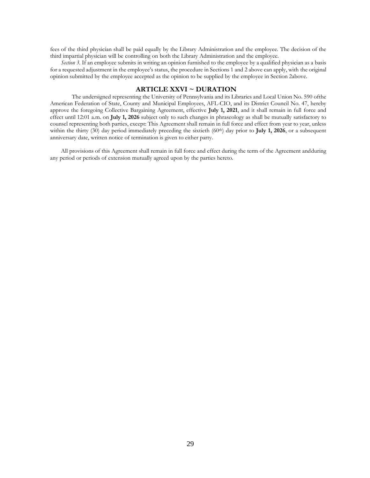fees of the third physician shall be paid equally by the Library Administration and the employee. The decision of the third impartial physician will be controlling on both the Library Administration and the employee.

*Section 3.* If an employee submits in writing an opinion furnished to the employee by a qualified physician as a basis for a requested adjustment in the employee's status, the procedure in Sections 1 and 2 above can apply, with the original opinion submitted by the employee accepted as the opinion to be supplied by the employee in Section 2above.

# **ARTICLE XXVI ~ DURATION**

<span id="page-28-0"></span>The undersigned representing the University of Pennsylvania and its Libraries and Local Union No. 590 ofthe American Federation of State, County and Municipal Employees, AFL-CIO, and its District Council No. 47, hereby approve the foregoing Collective Bargaining Agreement, effective **July 1, 2021**, and it shall remain in full force and effect until 12:01 a.m. on **July 1, 2026** subject only to such changes in phraseology as shall be mutually satisfactory to counsel representing both parties, except: This Agreement shall remain in full force and effect from year to year, unless within the thirty (30) day period immediately preceding the sixtieth (60<sup>th</sup>) day prior to **July 1, 2026**, or a subsequent anniversary date, written notice of termination is given to either party.

All provisions of this Agreement shall remain in full force and effect during the term of the Agreement andduring any period or periods of extension mutually agreed upon by the parties hereto.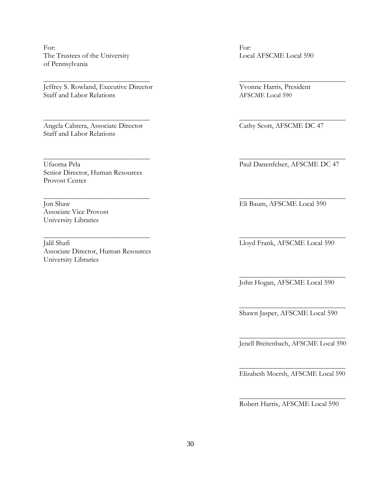For: For: The Trustees of the University Local AFSCME Local 590 of Pennsylvania

Jeffrey S. Rowland, Executive Director Yvonne Harris, President Staff and Labor Relations AFSCME Local 590

Angela Cabrera, Associate Director Cathy Scott, AFSCME DC 47 Staff and Labor Relations

Ufuoma Pela Paul Danenfelser, AFSCME DC 47 Senior Director, Human Resources Provost Center

Associate Vice Provost University Libraries

Jalil Shafi Lloyd Frank, AFSCME Local 590 Associate Director, Human Resources University Libraries

Jon Shaw Eli Baum, AFSCME Local 590

John Hogan, AFSCME Local 590

\_\_\_\_\_\_\_\_\_\_\_\_\_\_\_\_\_\_\_\_\_\_\_\_\_\_\_\_\_\_\_\_

Shawn Jasper, AFSCME Local 590

\_\_\_\_\_\_\_\_\_\_\_\_\_\_\_\_\_\_\_\_\_\_\_\_\_\_\_\_\_\_\_\_

\_\_\_\_\_\_\_\_\_\_\_\_\_\_\_\_\_\_\_\_\_\_\_\_\_\_\_\_\_\_\_\_ Jenell Breitenbach, AFSCME Local 590

\_\_\_\_\_\_\_\_\_\_\_\_\_\_\_\_\_\_\_\_\_\_\_\_\_\_\_\_\_\_\_\_ Elizabeth Moersh, AFSCME Local 590

\_\_\_\_\_\_\_\_\_\_\_\_\_\_\_\_\_\_\_\_\_\_\_\_\_\_\_\_\_\_\_\_ Robert Harris, AFSCME Local 590

\_\_\_\_\_\_\_\_\_\_\_\_\_\_\_\_\_\_\_\_\_\_\_\_\_\_\_\_\_\_\_\_ \_\_\_\_\_\_\_\_\_\_\_\_\_\_\_\_\_\_\_\_\_\_\_\_\_\_\_\_\_\_\_\_

\_\_\_\_\_\_\_\_\_\_\_\_\_\_\_\_\_\_\_\_\_\_\_\_\_\_\_\_\_\_\_\_ \_\_\_\_\_\_\_\_\_\_\_\_\_\_\_\_\_\_\_\_\_\_\_\_\_\_\_\_\_\_\_\_

\_\_\_\_\_\_\_\_\_\_\_\_\_\_\_\_\_\_\_\_\_\_\_\_\_\_\_\_\_\_\_\_ \_\_\_\_\_\_\_\_\_\_\_\_\_\_\_\_\_\_\_\_\_\_\_\_\_\_\_\_\_\_\_\_

\_\_\_\_\_\_\_\_\_\_\_\_\_\_\_\_\_\_\_\_\_\_\_\_\_\_\_\_\_\_\_\_ \_\_\_\_\_\_\_\_\_\_\_\_\_\_\_\_\_\_\_\_\_\_\_\_\_\_\_\_\_\_\_\_

\_\_\_\_\_\_\_\_\_\_\_\_\_\_\_\_\_\_\_\_\_\_\_\_\_\_\_\_\_\_\_\_ \_\_\_\_\_\_\_\_\_\_\_\_\_\_\_\_\_\_\_\_\_\_\_\_\_\_\_\_\_\_\_\_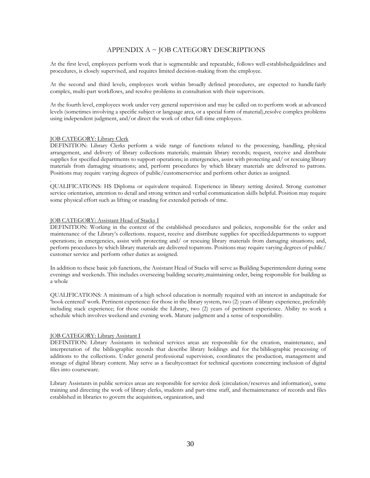# APPENDIX A ~ JOB CATEGORY DESCRIPTIONS

At the first level, employees perform work that is segmentable and repeatable, follows well-establishedguidelines and procedures, is closely supervised, and requires limited decision-making from the employee.

At the second and third levels, employees work within broadly defined procedures, are expected to handle fairly complex, multi-part workflows, and resolve problems in consultation with their supervisors.

At the fourth level, employees work under very general supervision and may be called on to perform work at advanced levels (sometimes involving a specific subject or language area, or a special form of material),resolve complex problems using independent judgment, and/or direct the work of other full-time employees.

# JOB CATEGORY: Library Clerk

.

DEFINITION: Library Clerks perform a wide range of functions related to the processing, handling, physical arrangement, and delivery of library collections materials; maintain library records; request, receive and distribute supplies for specified departments to support operations; in emergencies, assist with protecting and/ or rescuing library materials from damaging situations; and, perform procedures by which library materials are delivered to patrons. Positions may require varying degrees of public/customerservice and perform other duties as assigned.

QUALIFICATIONS: HS Diploma or equivalent required. Experience in library setting desired. Strong customer service orientation, attention to detail and strong written and verbal communication skills helpful. Position may require some physical effort such as lifting or standing for extended periods of time.

## JOB CATEGORY: Assistant Head of Stacks I

DEFINITION: Working in the context of the established procedures and policies, responsible for the order and maintenance of the Library's collections. request, receive and distribute supplies for specifieddepartments to support operations; in emergencies, assist with protecting and/ or rescuing library materials from damaging situations; and, perform procedures by which library materials are delivered topatrons. Positions may require varying degrees of public/ customer service and perform other duties as assigned.

In addition to these basic job functions, the Assistant Head of Stacks will serve as Building Superintendent during some evenings and weekends. This includes overseeing building security,maintaining order, being responsible for building as a whole

QUALIFICATIONS: A minimum of a high school education is normally required with an interest in andaptitude for 'book centered' work. Pertinent experience: for those in the library system, two (2) years of library experience, preferably including stack experience; for those outside the Library, two (2) years of pertinent experience. Ability to work a schedule which involves weekend and evening work. Mature judgment and a sense of responsibility.

#### JOB CATEGORY: Library Assistant I

DEFINITION: Library Assistants in technical services areas are responsible for the creation, maintenance, and interpretation of the bibliographic records that describe library holdings and for the bibliographic processing of additions to the collections. Under general professional supervision, coordinates the production, management and storage of digital library content. May serve as a facultycontact for technical questions concerning inclusion of digital files into courseware.

Library Assistants in public services areas are responsible for service desk (circulation/reserves and information), some training and directing the work of library clerks, students and part-time staff, and themaintenance of records and files established in libraries to govern the acquisition, organization, and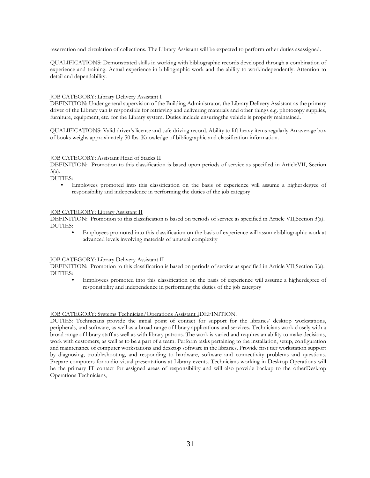reservation and circulation of collections. The Library Assistant will be expected to perform other duties asassigned.

QUALIFICATIONS: Demonstrated skills in working with bibliographic records developed through a combination of experience and training. Actual experience in bibliographic work and the ability to workindependently. Attention to detail and dependability.

## JOB CATEGORY: Library Delivery Assistant I

DEFINITION: Under general supervision of the Building Administrator, the Library Delivery Assistant as the primary driver of the Library van is responsible for retrieving and delivering materials and other things e.g. photocopy supplies, furniture, equipment, etc. for the Library system. Duties include ensuringthe vehicle is properly maintained.

QUALIFICATIONS: Valid driver's license and safe driving record. Ability to lift heavy items regularly.An average box of books weighs approximately 50 lbs. Knowledge of bibliographic and classification information.

## JOB CATEGORY: Assistant Head of Stacks II

DEFINITION: Promotion to this classification is based upon periods of service as specified in ArticleVII, Section  $3(a)$ .

DUTIES:

**•** Employees promoted into this classification on the basis of experience will assume a higher degree of responsibility and independence in performing the duties of the job category

# JOB CATEGORY: Library Assistant II

DEFINITION: Promotion to this classification is based on periods of service as specified in Article VII,Section 3(a). DUTIES:

**•** Employees promoted into this classification on the basis of experience will assumebibliographic work at advanced levels involving materials of unusual complexity

# JOB CATEGORY: Library Delivery Assistant II

DEFINITION: Promotion to this classification is based on periods of service as specified in Article VII,Section 3(a). DUTIES:

**•** Employees promoted into this classification on the basis of experience will assume a higherdegree of responsibility and independence in performing the duties of the job category

# JOB CATEGORY: Systems Technician/Operations Assistant IDEFINITION.

DUTIES: Technicians provide the initial point of contact for support for the libraries' desktop workstations, peripherals, and software, as well as a broad range of library applications and services. Technicians work closely with a broad range of library staff as well as with library patrons. The work is varied and requires an ability to make decisions, work with customers, as well as to be a part of a team. Perform tasks pertaining to the installation, setup, configuration and maintenance of computer workstations and desktop software in the libraries. Provide first tier workstation support by diagnosing, troubleshooting, and responding to hardware, software and connectivity problems and questions. Prepare computers for audio-visual presentations at Library events. Technicians working in Desktop Operations will be the primary IT contact for assigned areas of responsibility and will also provide backup to the otherDesktop Operations Technicians,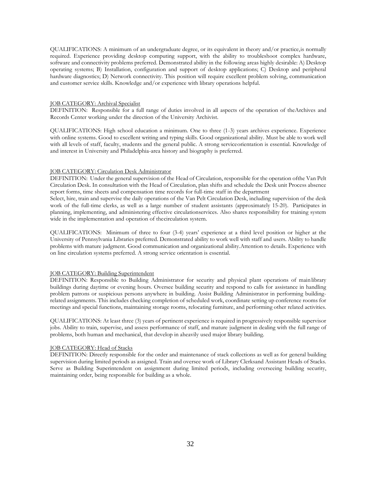QUALIFICATIONS: A minimum of an undergraduate degree, or its equivalent in theory and/or practice,is normally required. Experience providing desktop computing support, with the ability to troubleshoot complex hardware, software and connectivity problems preferred. Demonstrated ability in the following areas highly desirable: A) Desktop operating systems; B) Installation, configuration and support of desktop applications; C) Desktop and peripheral hardware diagnostics; D) Network connectivity. This position will require excellent problem solving, communication and customer service skills. Knowledge and/or experience with library operations helpful.

#### JOB CATEGORY: Archival Specialist

DEFINITION: Responsible for a full range of duties involved in all aspects of the operation of theArchives and Records Center working under the direction of the University Archivist.

QUALIFICATIONS: High school education a minimum. One to three (1-3) years archives experience. Experience with online systems. Good to excellent writing and typing skills. Good organizational ability. Must be able to work well with all levels of staff, faculty, students and the general public. A strong serviceorientation is essential. Knowledge of and interest in University and Philadelphia-area history and biography is preferred.

#### JOB CATEGORY: Circulation Desk Administrator

DEFINITION: Under the general supervision of the Head of Circulation, responsible for the operation ofthe Van Pelt Circulation Desk. In consultation with the Head of Circulation, plan shifts and schedule the Desk unit Process absence report forms, time sheets and compensation time records for full-time staff in the department

Select, hire, train and supervise the daily operations of the Van Pelt Circulation Desk, including supervision of the desk work of the full-time clerks, as well as a large number of student assistants (approximately 15-20). Participates in planning, implementing, and administering effective circulationservices. Also shares responsibility for training system wide in the implementation and operation of thecirculation system.

QUALIFICATIONS: Minimum of three to four (3-4) years' experience at a third level position or higher at the University of Pennsylvania Libraries preferred. Demonstrated ability to work well with staff and users. Ability to handle problems with mature judgment. Good communication and organizational ability.Attention to details. Experience with on line circulation systems preferred. A strong service orientation is essential.

#### JOB CATEGORY: Building Superintendent

DEFINITION: Responsible to Building Administrator for security and physical plant operations of main library buildings during daytime or evening hours. Oversee building security and respond to calls for assistance in handling problem patrons or suspicious persons anywhere in building. Assist Building Administrator in performing buildingrelated assignments. This includes checking completion of scheduled work, coordinate setting up conference rooms for meetings and special functions, maintaining storage rooms, relocating furniture, and performing other related activities.

QUALIFICATIONS: At least three (3) years of pertinent experience is required in progressively responsible supervisor jobs. Ability to train, supervise, and assess performance of staff, and mature judgment in dealing with the full range of problems, both human and mechanical, that develop in aheavily used major library building.

## JOB CATEGORY: Head of Stacks

DEFINITION: Directly responsible for the order and maintenance of stack collections as well as for general building supervision during limited periods as assigned. Train and oversee work of Library Clerksand Assistant Heads of Stacks. Serve as Building Superintendent on assignment during limited periods, including overseeing building security, maintaining order, being responsible for building as a whole.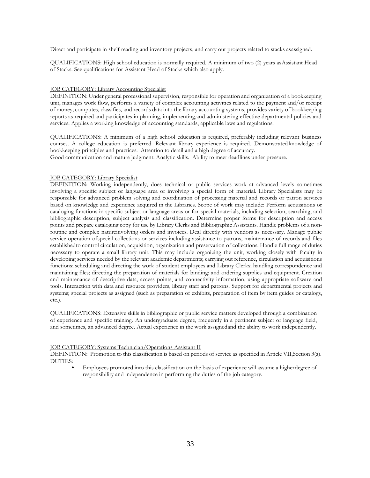Direct and participate in shelf reading and inventory projects, and carry out projects related to stacks asassigned.

QUALIFICATIONS: High school education is normally required. A minimum of two (2) years asAssistant Head of Stacks. See qualifications for Assistant Head of Stacks which also apply.

## JOB CATEGORY: Library Accounting Specialist

DEFINITION: Under general professional supervision, responsible for operation and organization of a bookkeeping unit, manages work flow, performs a variety of complex accounting activities related to the payment and/or receipt of money; computes, classifies, and records data into the library accounting systems, provides variety of bookkeeping reports as required and participates in planning, implementing,and administering effective departmental policies and services. Applies a working knowledge of accounting standards, applicable laws and regulations.

QUALIFICATIONS: A minimum of a high school education is required, preferably including relevant business courses. A college education is preferred. Relevant library experience is required. Demonstrated knowledge of bookkeeping principles and practices. Attention to detail and a high degree of accuracy.

Good communication and mature judgment. Analytic skills. Ability to meet deadlines under pressure.

# JOB CATEGORY: Library Specialist

DEFINITION: Working independently, does technical or public services work at advanced levels sometimes involving a specific subject or language area or involving a special form of material. Library Specialists may be responsible for advanced problem solving and coordination of processing material and records or patron services based on knowledge and experience acquired in the Libraries. Scope of work may include: Perform acquisitions or cataloging functions in specific subject or language areas or for special materials, including selection, searching, and bibliographic description, subject analysis and classification. Determine proper forms for description and access points and prepare cataloging copy for use by Library Clerks and Bibliographic Assistants. Handle problems of a nonroutine and complex natureinvolving orders and invoices. Deal directly with vendors as necessary. Manage public service operation ofspecial collections or services including assistance to patrons, maintenance of records and files establishedto control circulation, acquisition, organization and preservation of collections. Handle full range of duties necessary to operate a small library unit. This may include organizing the unit, working closely with faculty in developing services needed by the relevant academic departments; carrying out reference, circulation and acquisitions functions; scheduling and directing the work of student employees and Library Clerks; handling correspondence and maintaining files; directing the preparation of materials for binding; and ordering supplies and equipment. Creation and maintenance of descriptive data, access points, and connectivity information, using appropriate software and tools. Interaction with data and resource providers, library staff and patrons. Support for departmental projects and systems; special projects as assigned (such as preparation of exhibits, preparation of item by item guides or catalogs, etc.).

QUALIFICATIONS: Extensive skills in bibliographic or public service matters developed through a combination of experience and specific training. An undergraduate degree, frequently in a pertinent subject or language field, and sometimes, an advanced degree. Actual experience in the work assignedand the ability to work independently.

#### JOB CATEGORY: Systems Technician/Operations Assistant II

DEFINITION: Promotion to this classification is based on periods of service as specified in Article VII,Section 3(a). DUTIES:

**•** Employees promoted into this classification on the basis of experience will assume a higherdegree of responsibility and independence in performing the duties of the job category.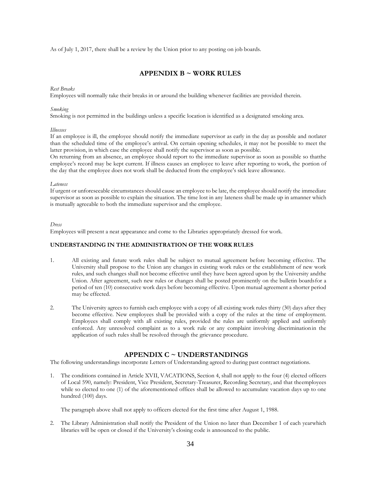As of July 1, 2017, there shall be a review by the Union prior to any posting on job boards.

# **APPENDIX B ~ WORK RULES**

## <span id="page-34-0"></span>*Rest Breaks*

Employees will normally take their breaks in or around the building whenever facilities are provided therein.

## *Smoking*

Smoking is not permitted in the buildings unless a specific location is identified as a designated smoking area.

## *Illnesses*

If an employee is ill, the employee should notify the immediate supervisor as early in the day as possible and notlater than the scheduled time of the employee's arrival. On certain opening schedules, it may not be possible to meet the latter provision, in which case the employee shall notify the supervisor as soon as possible.

On returning from an absence, an employee should report to the immediate supervisor as soon as possible so thatthe employee's record may be kept current. If illness causes an employee to leave after reporting to work, the portion of the day that the employee does not work shall be deducted from the employee's sick leave allowance.

## *Lateness*

If urgent or unforeseeable circumstances should cause an employee to be late, the employee should notify the immediate supervisor as soon as possible to explain the situation. The time lost in any lateness shall be made up in amanner which is mutually agreeable to both the immediate supervisor and the employee.

## *Dress*

Employees will present a neat appearance and come to the Libraries appropriately dressed for work.

# <span id="page-34-1"></span>**UNDERSTANDING IN THE ADMINISTRATION OF THE WORK RULES**

- 1. All existing and future work rules shall be subject to mutual agreement before becoming effective. The University shall propose to the Union any changes in existing work rules or the establishment of new work rules, and such changes shall not become effective until they have been agreed upon by the University andthe Union. After agreement, such new rules or changes shall be posted prominently on the bulletin boardsfor a period of ten (10) consecutive work days before becoming effective. Upon mutual agreement a shorter period may be effected.
- 2. The University agrees to furnish each employee with a copy of all existing work rules thirty (30) days after they become effective. New employees shall be provided with a copy of the rules at the time of employment. Employees shall comply with all existing rules, provided the rules are uniformly applied and uniformly enforced. Any unresolved complaint as to a work rule or any complaint involving discriminationin the application of such rules shall be resolved through the grievance procedure.

# **APPENDIX C ~ UNDERSTANDINGS**

<span id="page-34-2"></span>The following understandings incorporate Letters of Understanding agreed to during past contract negotiations.

1. The conditions contained in Article XVII, VACATIONS, Section 4, shall not apply to the four (4) elected officers of Local 590, namely: President, Vice President, Secretary-Treasurer, Recording Secretary, and that theemployees while so elected to one (1) of the aforementioned offices shall be allowed to accumulate vacation days up to one hundred (100) days.

The paragraph above shall not apply to officers elected for the first time after August 1, 1988.

2. The Library Administration shall notify the President of the Union no later than December 1 of each yearwhich libraries will be open or closed if the University's closing code is announced to the public.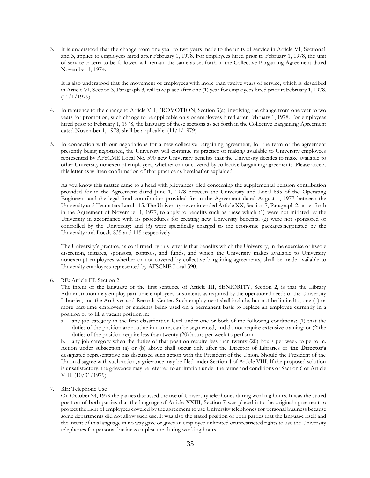3. It is understood that the change from one year to two years made to the units of service in Article VI, Sections1 and 3, applies to employees hired after February 1, 1978. For employees hired prior to February 1, 1978, the unit of service criteria to be followed will remain the same as set forth in the Collective Bargaining Agreement dated November 1, 1974.

It is also understood that the movement of employees with more than twelve years of service, which is described in Article VI, Section 3, Paragraph 3, will take place after one (1) year for employees hired prior toFebruary 1, 1978.  $(11/1/1979)$ 

- 4. In reference to the change to Article VII, PROMOTION, Section 3(a), involving the change from one year totwo years for promotion, such change to be applicable only or employees hired after February 1, 1978. For employees hired prior to February 1, 1978, the language of these sections as set forth in the Collective Bargaining Agreement dated November 1, 1978, shall be applicable.  $(11/1/1979)$
- 5. In connection with our negotiations for a new collective bargaining agreement, for the term of the agreement presently being negotiated, the University will continue its practice of making available to University employees represented by AFSCME Local No. 590 new University benefits that the University decides to make available to other University nonexempt employees, whether or not covered by collective bargaining agreements. Please accept this letter as written confirmation of that practice as hereinafter explained.

As you know this matter came to a head with grievances filed concerning the supplemental pension contribution provided for in the Agreement dated June 1, 1978 between the University and Local 835 of the Operating Engineers, and the legal fund contribution provided for in the Agreement dated August 1, 1977 between the University and Teamsters Local 115. The University never intended Article XX, Section 7, Paragraph 2, as set forth in the Agreement of November 1, 1977, to apply to benefits such as these which (1) were not initiated by the University in accordance with its procedures for creating new University benefits; (2) were not sponsored or controlled by the University; and (3) were specifically charged to the economic packages negotiated by the University and Locals 835 and 115 respectively.

The University's practice, as confirmed by this letter is that benefits which the University, in the exercise of itssole discretion, initiates, sponsors, controls, and funds, and which the University makes available to University nonexempt employees whether or not covered by collective bargaining agreements, shall be made available to University employees represented by AFSCME Local 590.

6. RE: Article III, Section 2

The intent of the language of the first sentence of Article III, SENIORITY, Section 2, is that the Library Administration may employ part-time employees or students as required by the operational needs of the University Libraries, and the Archives and Records Center. Such employment shall include, but not be limitedto, one (1) or more part-time employees or students being used on a permanent basis to replace an employee currently in a position or to fill a vacant position in:

a. any job category in the first classification level under one or both of the following conditions: (1) that the duties of the position are routine in nature, can be segmented, and do not require extensive training; or (2)the duties of the position require less than twenty (20) hours per week to perform.

b. any job category when the duties of that position require less than twenty (20) hours per week to perform. Action under subsection (a) or (b) above shall occur only after the Director of Libraries or **the Director's** designated representative has discussed such action with the President of the Union. Should the President of the Union disagree with such action, a grievance may be filed under Section 4 of Article VIII. If the proposed solution is unsatisfactory, the grievance may be referred to arbitration under the terms and conditions of Section 6 of Article VIII. (10/31/1979)

# 7. RE: Telephone Use

On October 24, 1979 the parties discussed the use of University telephones during working hours. It was the stated position of both parties that the language of Article XXIII, Section 7 was placed into the original agreement to protect the right of employees covered by the agreement to use University telephones for personal business because some departments did not allow such use. It was also the stated position of both parties that the language itself and the intent of this language in no way gave or gives an employee unlimited orunrestricted rights to use the University telephones for personal business or pleasure during working hours.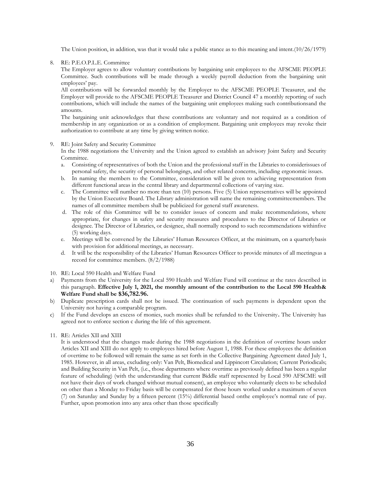The Union position, in addition, was that it would take a public stance as to this meaning and intent.(10/26/1979)

8. RE: P.E.O.P.L.E. Committee

The Employer agrees to allow voluntary contributions by bargaining unit employees to the AFSCME PEOPLE Committee. Such contributions will be made through a weekly payroll deduction from the bargaining unit employees' pay.

All contributions will be forwarded monthly by the Employer to the AFSCME PEOPLE Treasurer, and the Employer will provide to the AFSCME PEOPLE Treasurer and District Council 47 a monthly reporting of such contributions, which will include the names of the bargaining unit employees making such contributionsand the amounts.

The bargaining unit acknowledges that these contributions are voluntary and not required as a condition of membership in any organization or as a condition of employment. Bargaining unit employees may revoke their authorization to contribute at any time by giving written notice.

#### 9. RE: Joint Safety and Security Committee

In the 1988 negotiations the University and the Union agreed to establish an advisory Joint Safety and Security Committee.

- a. Consisting of representatives of both the Union and the professional staff in the Libraries to considerissues of personal safety, the security of personal belongings, and other related concerns, including ergonomic issues.
- b. In naming the members to the Committee, consideration will be given to achieving representation from different functional areas in the central library and departmental collections of varying size.
- c. The Committee will number no more than ten (10) persons. Five (5) Union representatives will be appointed by the Union Executive Board. The Library administration will name the remaining committeemembers. The names of all committee members shall be publicized for general staff awareness.
- d. The role of this Committee will be to consider issues of concern and make recommendations, where appropriate, for changes in safety and security measures and procedures to the Director of Libraries or designee. The Director of Libraries, or designee, shall normally respond to such recommendations withinfive (5) working days.
- e. Meetings will be convened by the Libraries' Human Resources Officer, at the minimum, on a quarterlybasis with provision for additional meetings, as necessary.
- d. It will be the responsibility of the Libraries' Human Resources Officer to provide minutes of all meetingsas a record for committee members. (8/2/1988)
- 10. RE: Local 590 Health and Welfare Fund
- a) Payments from the University for the Local 590 Health and Welfare Fund will continue at the rates described in this paragraph. **Effective July 1, 2021, the monthly amount of the contribution to the Local 590 Health& Welfare Fund shall be \$36,782.96.**
- b) Duplicate prescription cards shall not be issued. The continuation of such payments is dependent upon the University not having a comparable program.
- c) If the Fund develops an excess of monies, such monies shall be refunded to the University**.** The University has agreed not to enforce section c during the life of this agreement.
- 11. RE: Articles XII and XIII

It is understood that the changes made during the 1988 negotiations in the definition of overtime hours under Articles XII and XIII do not apply to employees hired before August 1, 1988. For these employees the definition of overtime to be followed will remain the same as set forth in the Collective Bargaining Agreement dated July 1, 1985. However, in all areas, excluding only: Van Pelt, Biomedical and Lippincott Circulation; Current Periodicals; and Building Security in Van Pelt, (i.e., those departments where overtime as previously defined has been a regular feature of scheduling) (with the understanding that current Biddle staff represented by Local 590 AFSCME will not have their days of work changed without mutual consent), an employee who voluntarily elects to be scheduled on other than a Monday to Friday basis will be compensated for those hours worked under a maximum of seven (7) on Saturday and Sunday by a fifteen percent (15%) differential based onthe employee's normal rate of pay. Further, upon promotion into any area other than those specifically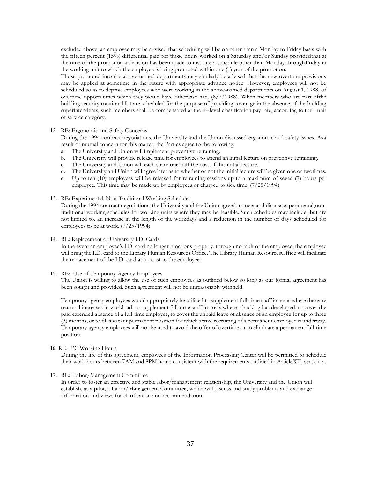excluded above, an employee may be advised that scheduling will be on other than a Monday to Friday basis with the fifteen percent (15%) differential paid for those hours worked on a Saturday and/or Sunday providedthat at the time of the promotion a decision has been made to institute a schedule other than Monday throughFriday in the working unit to which the employee is being promoted within one (1) year of the promotion.

Those promoted into the above-named departments may similarly be advised that the new overtime provisions may be applied at sometime in the future with appropriate advance notice. However, employees will not be scheduled so as to deprive employees who were working in the above-named departments on August 1, 1988, of overtime opportunities which they would have otherwise had. (8/2/1988). When members who are part ofthe building security rotational list are scheduled for the purpose of providing coverage in the absence of the building superintendents, such members shall be compensated at the 4<sup>th</sup> level classification pay rate, according to their unit of service category.

## 12. RE: Ergonomic and Safety Concerns

During the 1994 contract negotiations, the University and the Union discussed ergonomic and safety issues. Asa result of mutual concern for this matter, the Parties agree to the following:

- a. The University and Union will implement preventive retraining.
- b. The University will provide release time for employees to attend an initial lecture on preventive retraining.
- c. The University and Union will each share one-half the cost of this initial lecture.
- d. The University and Union will agree later as to whether or not the initial lecture will be given one or twotimes.
- e. Up to ten (10) employees will be released for retraining sessions up to a maximum of seven (7) hours per employee. This time may be made up by employees or charged to sick time. (7/25/1994)
- 13. RE: Experimental, Non-Traditional Working Schedules

During the 1994 contract negotiations, the University and the Union agreed to meet and discuss experimental,nontraditional working schedules for working units where they may be feasible. Such schedules may include, but are not limited to, an increase in the length of the workdays and a reduction in the number of days scheduled for employees to be at work. (7/25/1994)

14. RE: Replacement of University I.D. Cards

In the event an employee's I.D. card no longer functions properly, through no fault of the employee, the employee will bring the I.D. card to the Library Human Resources Office. The Library Human ResourcesOffice will facilitate the replacement of the I.D. card at no cost to the employee.

# 15. RE: Use of Temporary Agency Employees

The Union is willing to allow the use of such employees as outlined below so long as our formal agreement has been sought and provided. Such agreement will not be unreasonably withheld.

Temporary agency employees would appropriately be utilized to supplement full-time staff in areas where thereare seasonal increases in workload, to supplement full-time staff in areas where a backlog has developed, to cover the paid extended absence of a full-time employee, to cover the unpaid leave of absence of an employee for up to three (3) months, or to fill a vacant permanent position for which active recruiting of a permanent employee is underway. Temporary agency employees will not be used to avoid the offer of overtime or to eliminate a permanent full-time position.

#### **16** RE: IPC Working Hours

During the life of this agreement, employees of the Information Processing Center will be permitted to schedule their work hours between 7AM and 8PM hours consistent with the requirements outlined in ArticleXII, section 4.

### 17. RE: Labor/Management Committee

In order to foster an effective and stable labor/management relationship, the University and the Union will establish, as a pilot, a Labor/Management Committee, which will discuss and study problems and exchange information and views for clarification and recommendation.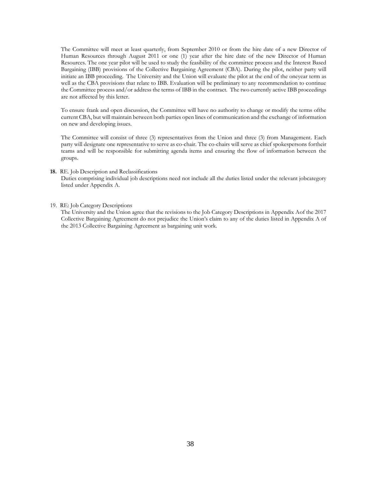The Committee will meet at least quarterly, from September 2010 or from the hire date of a new Director of Human Resources through August 2011 or one (1) year after the hire date of the new Director of Human Resources. The one year pilot will be used to study the feasibility of the committee process and the Interest Based Bargaining (IBB) provisions of the Collective Bargaining Agreement (CBA). During the pilot, neither party will initiate an IBB proceeding. The University and the Union will evaluate the pilot at the end of the oneyear term as well as the CBA provisions that relate to IBB. Evaluation will be preliminary to any recommendation to continue the Committee process and/or address the terms of IBB in the contract. The two currently active IBB proceedings are not affected by this letter.

To ensure frank and open discussion, the Committee will have no authority to change or modify the terms ofthe current CBA, but will maintain between both parties open lines of communication and the exchange of information on new and developing issues.

The Committee will consist of three (3) representatives from the Union and three (3) from Management. Each party will designate one representative to serve as co-chair. The co-chairs will serve as chief spokespersons fortheir teams and will be responsible for submitting agenda items and ensuring the flow of information between the groups.

#### **18.** RE. Job Description and Reclassifications

Duties comprising individual job descriptions need not include all the duties listed under the relevant jobcategory listed under Appendix A.

#### 19. RE: Job Category Descriptions

The University and the Union agree that the revisions to the Job Category Descriptions in Appendix Aof the 2017 Collective Bargaining Agreement do not prejudice the Union's claim to any of the duties listed in Appendix A of the 2013 Collective Bargaining Agreement as bargaining unit work.